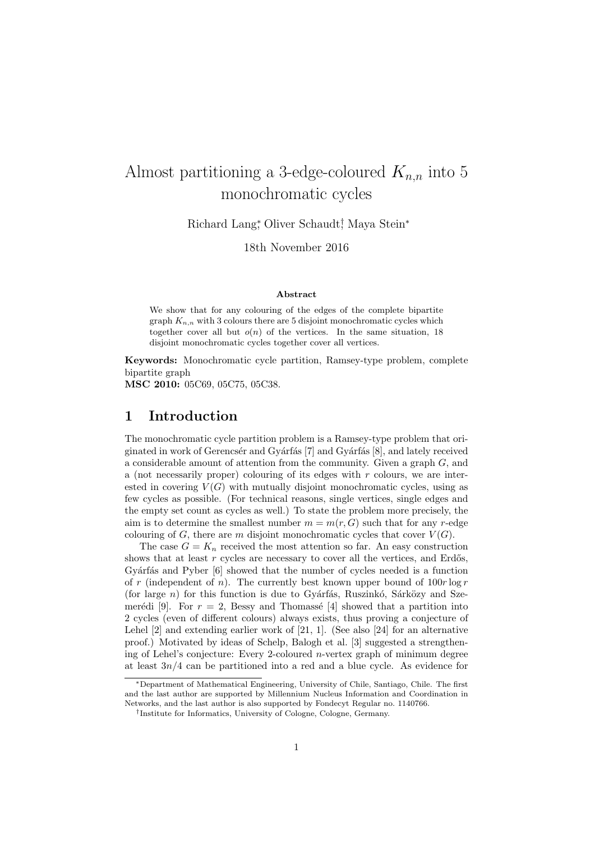# Almost partitioning a 3-edge-coloured  $K_{n,n}$  into 5 monochromatic cycles

Richard Lang<sup>∗</sup> , Oliver Schaudt† , Maya Stein<sup>∗</sup>

18th November 2016

#### Abstract

We show that for any colouring of the edges of the complete bipartite graph  $K_{n,n}$  with 3 colours there are 5 disjoint monochromatic cycles which together cover all but  $o(n)$  of the vertices. In the same situation, 18 disjoint monochromatic cycles together cover all vertices.

Keywords: Monochromatic cycle partition, Ramsey-type problem, complete bipartite graph

MSC 2010: 05C69, 05C75, 05C38.

# 1 Introduction

The monochromatic cycle partition problem is a Ramsey-type problem that originated in work of Gerencsér and Gyárfás  $[7]$  and Gyárfás  $[8]$ , and lately received a considerable amount of attention from the community. Given a graph G, and a (not necessarily proper) colouring of its edges with  $r$  colours, we are interested in covering  $V(G)$  with mutually disjoint monochromatic cycles, using as few cycles as possible. (For technical reasons, single vertices, single edges and the empty set count as cycles as well.) To state the problem more precisely, the aim is to determine the smallest number  $m = m(r, G)$  such that for any r-edge colouring of G, there are m disjoint monochromatic cycles that cover  $V(G)$ .

The case  $G = K_n$  received the most attention so far. An easy construction shows that at least  $r$  cycles are necessary to cover all the vertices, and Erdős, Gyárfás and Pyber [6] showed that the number of cycles needed is a function of r (independent of n). The currently best known upper bound of  $100r \log r$ (for large  $n$ ) for this function is due to Gyárfás, Ruszinkó, Sárközy and Szemerédi [9]. For  $r = 2$ , Bessy and Thomassé [4] showed that a partition into 2 cycles (even of different colours) always exists, thus proving a conjecture of Lehel  $[2]$  and extending earlier work of  $[21, 1]$ . (See also  $[24]$  for an alternative proof.) Motivated by ideas of Schelp, Balogh et al. [3] suggested a strengthening of Lehel's conjecture: Every 2-coloured n-vertex graph of minimum degree at least  $3n/4$  can be partitioned into a red and a blue cycle. As evidence for

<sup>∗</sup>Department of Mathematical Engineering, University of Chile, Santiago, Chile. The first and the last author are supported by Millennium Nucleus Information and Coordination in Networks, and the last author is also supported by Fondecyt Regular no. 1140766.

<sup>†</sup> Institute for Informatics, University of Cologne, Cologne, Germany.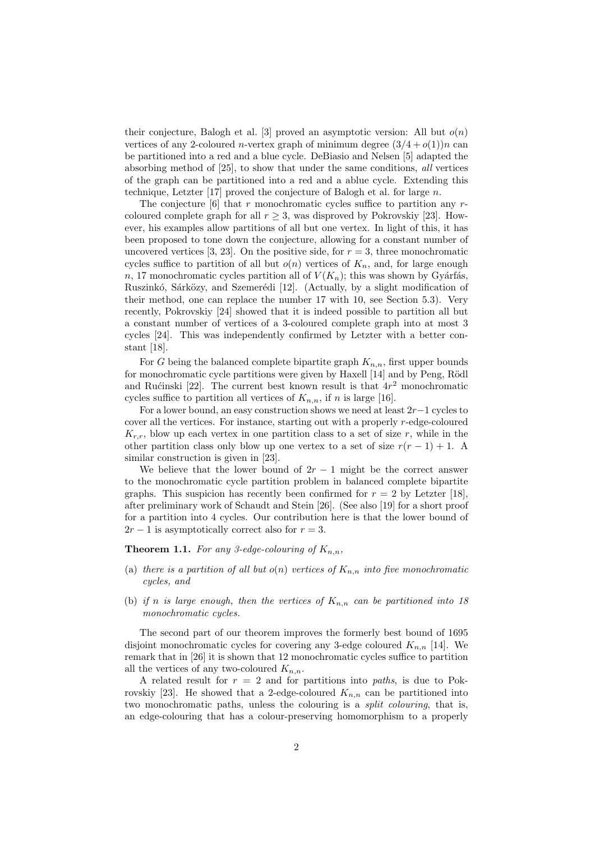their conjecture, Balogh et al. [3] proved an asymptotic version: All but  $o(n)$ vertices of any 2-coloured *n*-vertex graph of minimum degree  $(3/4+o(1))n$  can be partitioned into a red and a blue cycle. DeBiasio and Nelsen [5] adapted the absorbing method of [25], to show that under the same conditions, all vertices of the graph can be partitioned into a red and a ablue cycle. Extending this technique, Letzter [17] proved the conjecture of Balogh et al. for large  $n$ .

The conjecture  $[6]$  that r monochromatic cycles suffice to partition any rcoloured complete graph for all  $r > 3$ , was disproved by Pokrovskiy [23]. However, his examples allow partitions of all but one vertex. In light of this, it has been proposed to tone down the conjecture, allowing for a constant number of uncovered vertices [3, 23]. On the positive side, for  $r = 3$ , three monochromatic cycles suffice to partition of all but  $o(n)$  vertices of  $K_n$ , and, for large enough n, 17 monochromatic cycles partition all of  $V(K_n)$ ; this was shown by Gyárfás, Ruszinkó, Sárközy, and Szemerédi [12]. (Actually, by a slight modification of their method, one can replace the number 17 with 10, see Section 5.3). Very recently, Pokrovskiy [24] showed that it is indeed possible to partition all but a constant number of vertices of a 3-coloured complete graph into at most 3 cycles [24]. This was independently confirmed by Letzter with a better constant [18].

For G being the balanced complete bipartite graph  $K_{n,n}$ , first upper bounds for monochromatic cycle partitions were given by Haxell [14] and by Peng, Rödl and Rućinski [22]. The current best known result is that  $4r^2$  monochromatic cycles suffice to partition all vertices of  $K_{n,n}$ , if n is large [16].

For a lower bound, an easy construction shows we need at least  $2r-1$  cycles to cover all the vertices. For instance, starting out with a properly r-edge-coloured  $K_{r,r}$ , blow up each vertex in one partition class to a set of size r, while in the other partition class only blow up one vertex to a set of size  $r(r-1) + 1$ . A similar construction is given in [23].

We believe that the lower bound of  $2r - 1$  might be the correct answer to the monochromatic cycle partition problem in balanced complete bipartite graphs. This suspicion has recently been confirmed for  $r = 2$  by Letzter [18], after preliminary work of Schaudt and Stein [26]. (See also [19] for a short proof for a partition into 4 cycles. Our contribution here is that the lower bound of  $2r - 1$  is asymptotically correct also for  $r = 3$ .

**Theorem 1.1.** For any 3-edge-colouring of  $K_{n,n}$ ,

- (a) there is a partition of all but  $o(n)$  vertices of  $K_{n,n}$  into five monochromatic cycles, and
- (b) if n is large enough, then the vertices of  $K_{n,n}$  can be partitioned into 18 monochromatic cycles.

The second part of our theorem improves the formerly best bound of 1695 disjoint monochromatic cycles for covering any 3-edge coloured  $K_{n,n}$  [14]. We remark that in [26] it is shown that 12 monochromatic cycles suffice to partition all the vertices of any two-coloured  $K_{n,n}$ .

A related result for  $r = 2$  and for partitions into paths, is due to Pokrovskiy [23]. He showed that a 2-edge-coloured  $K_{n,n}$  can be partitioned into two monochromatic paths, unless the colouring is a split colouring, that is, an edge-colouring that has a colour-preserving homomorphism to a properly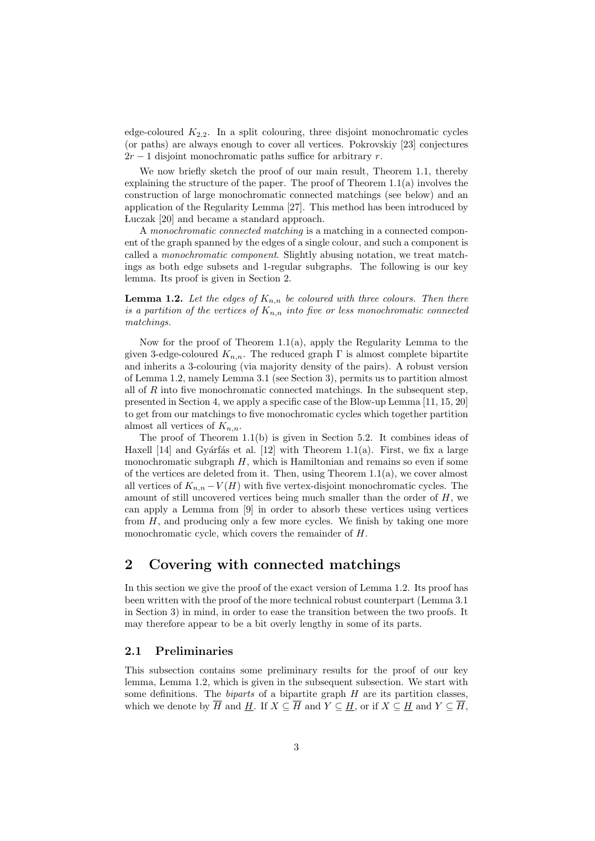edge-coloured  $K_{2,2}$ . In a split colouring, three disjoint monochromatic cycles (or paths) are always enough to cover all vertices. Pokrovskiy [23] conjectures  $2r-1$  disjoint monochromatic paths suffice for arbitrary r.

We now briefly sketch the proof of our main result. Theorem 1.1, thereby explaining the structure of the paper. The proof of Theorem 1.1(a) involves the construction of large monochromatic connected matchings (see below) and an application of the Regularity Lemma [27]. This method has been introduced by Luczak [20] and became a standard approach.

A monochromatic connected matching is a matching in a connected component of the graph spanned by the edges of a single colour, and such a component is called a monochromatic component. Slightly abusing notation, we treat matchings as both edge subsets and 1-regular subgraphs. The following is our key lemma. Its proof is given in Section 2.

**Lemma 1.2.** Let the edges of  $K_{n,n}$  be coloured with three colours. Then there is a partition of the vertices of  $K_{n,n}$  into five or less monochromatic connected matchings.

Now for the proof of Theorem 1.1(a), apply the Regularity Lemma to the given 3-edge-coloured  $K_{n,n}$ . The reduced graph  $\Gamma$  is almost complete bipartite and inherits a 3-colouring (via majority density of the pairs). A robust version of Lemma 1.2, namely Lemma 3.1 (see Section 3), permits us to partition almost all of  $R$  into five monochromatic connected matchings. In the subsequent step, presented in Section 4, we apply a specific case of the Blow-up Lemma [11, 15, 20] to get from our matchings to five monochromatic cycles which together partition almost all vertices of  $K_{n,n}$ .

The proof of Theorem 1.1(b) is given in Section 5.2. It combines ideas of Haxell [14] and Gyárfás et al. [12] with Theorem 1.1(a). First, we fix a large monochromatic subgraph  $H$ , which is Hamiltonian and remains so even if some of the vertices are deleted from it. Then, using Theorem  $1.1(a)$ , we cover almost all vertices of  $K_{n,n} - V(H)$  with five vertex-disjoint monochromatic cycles. The amount of still uncovered vertices being much smaller than the order of  $H$ , we can apply a Lemma from [9] in order to absorb these vertices using vertices from  $H$ , and producing only a few more cycles. We finish by taking one more monochromatic cycle, which covers the remainder of H.

# 2 Covering with connected matchings

In this section we give the proof of the exact version of Lemma 1.2. Its proof has been written with the proof of the more technical robust counterpart (Lemma 3.1 in Section 3) in mind, in order to ease the transition between the two proofs. It may therefore appear to be a bit overly lengthy in some of its parts.

### 2.1 Preliminaries

This subsection contains some preliminary results for the proof of our key lemma, Lemma 1.2, which is given in the subsequent subsection. We start with some definitions. The *biparts* of a bipartite graph  $H$  are its partition classes, which we denote by  $\overline{H}$  and  $\underline{H}$ . If  $X \subseteq \overline{H}$  and  $Y \subseteq \underline{H}$ , or if  $X \subseteq \underline{H}$  and  $Y \subseteq \overline{H}$ ,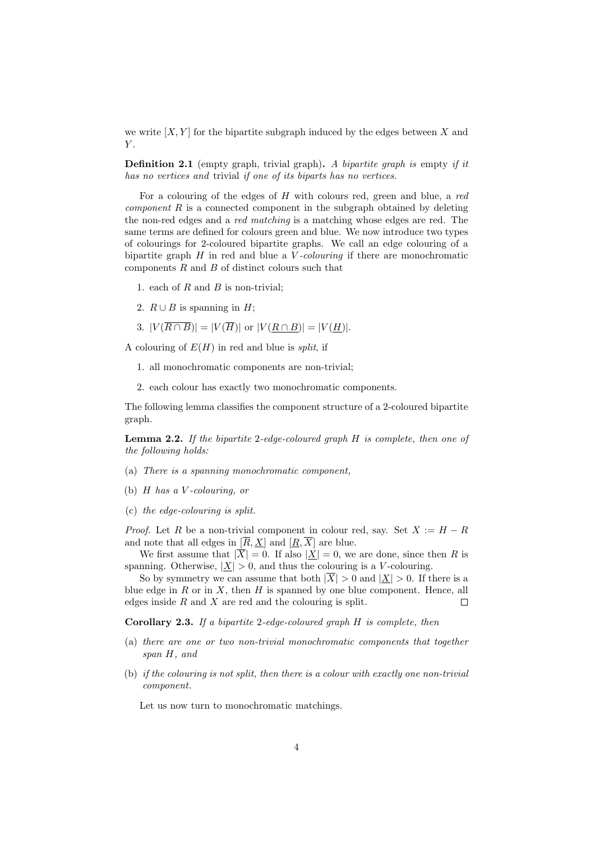we write  $[X, Y]$  for the bipartite subgraph induced by the edges between X and  $Y$ .

**Definition 2.1** (empty graph, trivial graph). A bipartite graph is empty if it has no vertices and trivial if one of its biparts has no vertices.

For a colouring of the edges of  $H$  with colours red, green and blue, a red *component*  $R$  is a connected component in the subgraph obtained by deleting the non-red edges and a red matching is a matching whose edges are red. The same terms are defined for colours green and blue. We now introduce two types of colourings for 2-coloured bipartite graphs. We call an edge colouring of a bipartite graph  $H$  in red and blue a  $V$ -colouring if there are monochromatic components  $R$  and  $B$  of distinct colours such that

- 1. each of  $R$  and  $B$  is non-trivial;
- 2.  $R \cup B$  is spanning in  $H$ ;
- 3.  $|V(\overline{R \cap B})| = |V(\overline{H})|$  or  $|V(R \cap B)| = |V(H)|$ .

A colouring of  $E(H)$  in red and blue is *split*, if

- 1. all monochromatic components are non-trivial;
- 2. each colour has exactly two monochromatic components.

The following lemma classifies the component structure of a 2-coloured bipartite graph.

**Lemma 2.2.** If the bipartite 2-edge-coloured graph  $H$  is complete, then one of the following holds:

- (a) There is a spanning monochromatic component,
- (b)  $H$  has a V-colouring, or
- (c) the edge-colouring is split.

*Proof.* Let R be a non-trivial component in colour red, say. Set  $X := H - R$ and note that all edges in  $[\overline{R}, \underline{X}]$  and  $[\underline{R}, \overline{X}]$  are blue.

We first assume that  $|\overline{X}| = 0$ . If also  $|\underline{X}| = 0$ , we are done, since then R is spanning. Otherwise,  $|\underline{X}| > 0$ , and thus the colouring is a V-colouring.

So by symmetry we can assume that both  $|\overline{X}| > 0$  and  $|\underline{X}| > 0$ . If there is a blue edge in  $R$  or in  $X$ , then  $H$  is spanned by one blue component. Hence, all edges inside  $R$  and  $X$  are red and the colouring is split.  $\Box$ 

Corollary 2.3. If a bipartite 2-edge-coloured graph H is complete, then

- (a) there are one or two non-trivial monochromatic components that together span H, and
- (b) if the colouring is not split, then there is a colour with exactly one non-trivial component.

Let us now turn to monochromatic matchings.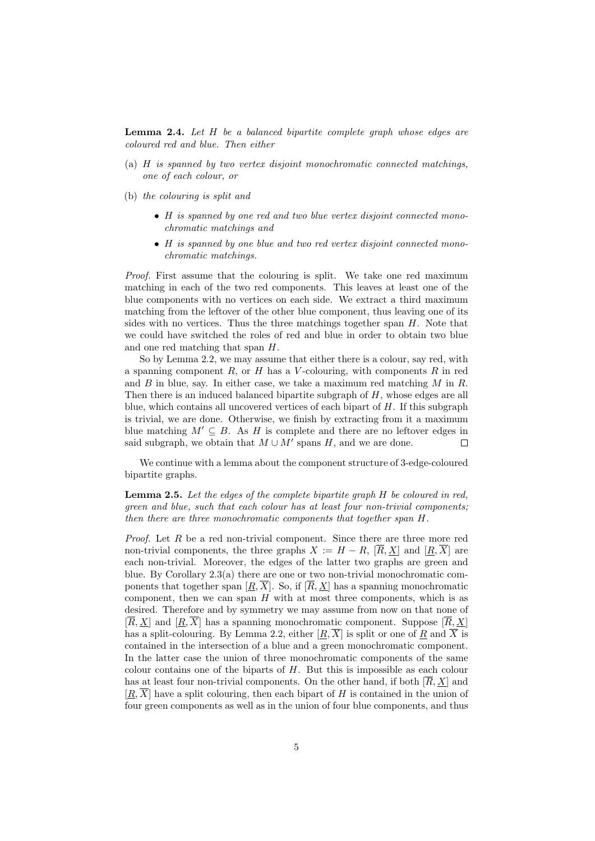**Lemma 2.4.** Let  $H$  be a balanced bipartite complete graph whose edges are coloured red and blue. Then either

- (a) H is spanned by two vertex disjoint monochromatic connected matchings, one of each colour, or
- (b) the colouring is split and
	- H is spanned by one red and two blue vertex disjoint connected monochromatic matchings and
	- H is spanned by one blue and two red vertex disjoint connected monochromatic matchings.

Proof. First assume that the colouring is split. We take one red maximum matching in each of the two red components. This leaves at least one of the blue components with no vertices on each side. We extract a third maximum matching from the leftover of the other blue component, thus leaving one of its sides with no vertices. Thus the three matchings together span  $H$ . Note that we could have switched the roles of red and blue in order to obtain two blue and one red matching that span H.

So by Lemma 2.2, we may assume that either there is a colour, say red, with a spanning component  $R$ , or  $H$  has a V-colouring, with components  $R$  in red and  $B$  in blue, say. In either case, we take a maximum red matching  $M$  in  $R$ . Then there is an induced balanced bipartite subgraph of H, whose edges are all blue, which contains all uncovered vertices of each bipart of  $H$ . If this subgraph is trivial, we are done. Otherwise, we finish by extracting from it a maximum blue matching  $M' \subseteq B$ . As H is complete and there are no leftover edges in said subgraph, we obtain that  $M \cup M'$  spans  $H$ , and we are done.  $\Box$ 

We continue with a lemma about the component structure of 3-edge-coloured bipartite graphs.

#### Lemma 2.5. Let the edges of the complete bipartite graph H be coloured in red, green and blue, such that each colour has at least four non-trivial components; then there are three monochromatic components that together span H.

*Proof.* Let  $R$  be a red non-trivial component. Since there are three more red non-trivial components, the three graphs  $X := H - R$ ,  $[\overline{R}, \underline{X}]$  and  $[\underline{R}, \overline{X}]$  are each non-trivial. Moreover, the edges of the latter two graphs are green and blue. By Corollary 2.3(a) there are one or two non-trivial monochromatic components that together span  $[R, \overline{X}]$ . So, if  $[\overline{R}, X]$  has a spanning monochromatic component, then we can span  $H$  with at most three components, which is as desired. Therefore and by symmetry we may assume from now on that none of  $[\overline{R}, X]$  and  $[R, \overline{X}]$  has a spanning monochromatic component. Suppose  $[\overline{R}, X]$ has a split-colouring. By Lemma 2.2, either  $[\underline{R}, \overline{X}]$  is split or one of  $\underline{R}$  and  $\overline{X}$  is contained in the intersection of a blue and a green monochromatic component. In the latter case the union of three monochromatic components of the same colour contains one of the biparts of  $H$ . But this is impossible as each colour has at least four non-trivial components. On the other hand, if both  $[\overline{R}, \underline{X}]$  and  $[R, \overline{X}]$  have a split colouring, then each bipart of H is contained in the union of four green components as well as in the union of four blue components, and thus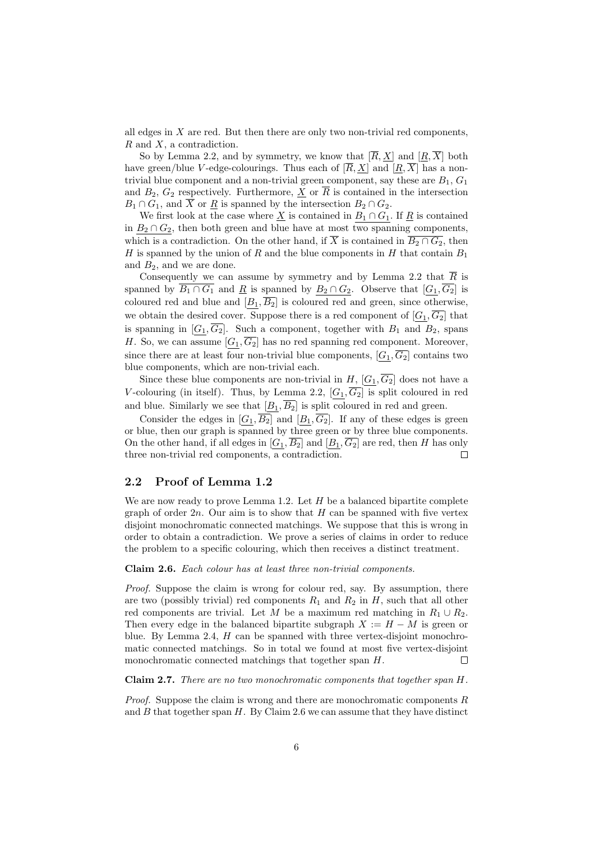all edges in  $X$  are red. But then there are only two non-trivial red components,  $R$  and  $X$ , a contradiction.

So by Lemma 2.2, and by symmetry, we know that  $[\overline{R}, X]$  and  $[R, \overline{X}]$  both have green/blue V-edge-colourings. Thus each of  $[\overline{R}, \underline{X}]$  and  $[\underline{R}, \overline{X}]$  has a nontrivial blue component and a non-trivial green component, say these are  $B_1, G_1$ and  $B_2, G_2$  respectively. Furthermore,  $\underline{X}$  or  $\overline{R}$  is contained in the intersection  $B_1 \cap G_1$ , and  $\overline{X}$  or  $\underline{R}$  is spanned by the intersection  $B_2 \cap G_2$ .

We first look at the case where  $\underline{X}$  is contained in  $B_1 \cap G_1$ . If  $\underline{R}$  is contained in  $B_2 \cap G_2$ , then both green and blue have at most two spanning components, which is a contradiction. On the other hand, if  $\overline{X}$  is contained in  $\overline{B_2 \cap G_2}$ , then H is spanned by the union of R and the blue components in H that contain  $B_1$ and  $B_2$ , and we are done.

Consequently we can assume by symmetry and by Lemma 2.2 that  $\overline{R}$  is spanned by  $\overline{B_1 \cap G_1}$  and  $\underline{R}$  is spanned by  $B_2 \cap G_2$ . Observe that  $[G_1, \overline{G_2}]$  is coloured red and blue and  $[B_1, \overline{B_2}]$  is coloured red and green, since otherwise, we obtain the desired cover. Suppose there is a red component of  $[G_1, \overline{G_2}]$  that is spanning in  $[G_1, \overline{G_2}]$ . Such a component, together with  $B_1$  and  $B_2$ , spans H. So, we can assume  $[G_1, \overline{G_2}]$  has no red spanning red component. Moreover, since there are at least four non-trivial blue components,  $[G_1, \overline{G_2}]$  contains two blue components, which are non-trivial each.

Since these blue components are non-trivial in H,  $[G_1, \overline{G_2}]$  does not have a V-colouring (in itself). Thus, by Lemma 2.2,  $[G_1,\overline{G_2}]$  is split coloured in red and blue. Similarly we see that  $[B_1, \overline{B_2}]$  is split coloured in red and green.

Consider the edges in  $[G_1, \overline{B_2}]$  and  $[B_1, \overline{G_2}]$ . If any of these edges is green or blue, then our graph is spanned by three green or by three blue components. On the other hand, if all edges in  $[G_1, \overline{B_2}]$  and  $[B_1, \overline{G_2}]$  are red, then H has only three non-trivial red components, a contradiction.  $\Box$ 

### 2.2 Proof of Lemma 1.2

We are now ready to prove Lemma 1.2. Let  $H$  be a balanced bipartite complete graph of order  $2n$ . Our aim is to show that H can be spanned with five vertex disjoint monochromatic connected matchings. We suppose that this is wrong in order to obtain a contradiction. We prove a series of claims in order to reduce the problem to a specific colouring, which then receives a distinct treatment.

#### Claim 2.6. Each colour has at least three non-trivial components.

Proof. Suppose the claim is wrong for colour red, say. By assumption, there are two (possibly trivial) red components  $R_1$  and  $R_2$  in  $H$ , such that all other red components are trivial. Let M be a maximum red matching in  $R_1 \cup R_2$ . Then every edge in the balanced bipartite subgraph  $X := H - M$  is green or blue. By Lemma 2.4,  $H$  can be spanned with three vertex-disjoint monochromatic connected matchings. So in total we found at most five vertex-disjoint monochromatic connected matchings that together span H. П

Claim 2.7. There are no two monochromatic components that together span H.

*Proof.* Suppose the claim is wrong and there are monochromatic components  $R$ and  $B$  that together span  $H$ . By Claim 2.6 we can assume that they have distinct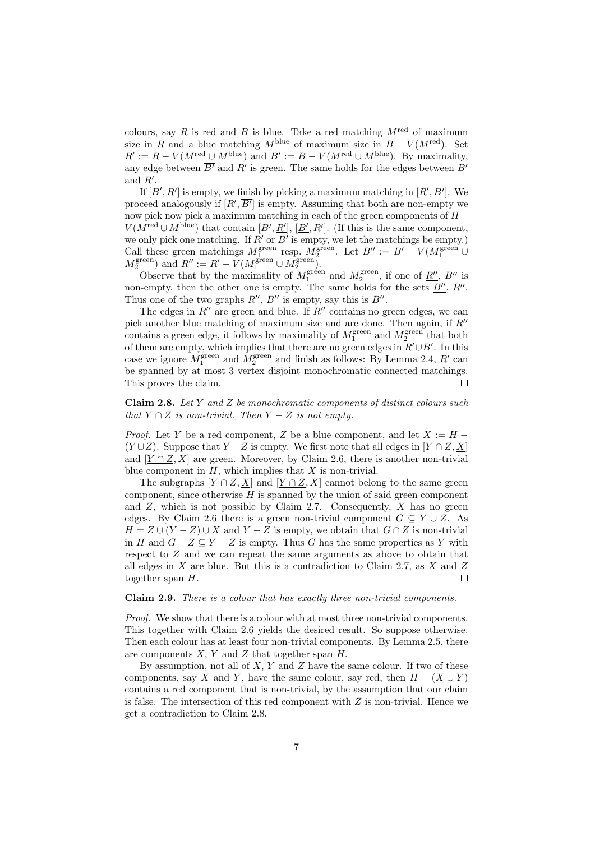colours, say R is red and B is blue. Take a red matching  $M^{\text{red}}$  of maximum size in R and a blue matching  $M^{\text{blue}}$  of maximum size in  $B - V(M^{\text{red}})$ . Set  $R' := R - V(M^{\text{red}} \cup M^{\text{blue}})$  and  $B' := B - V(M^{\text{red}} \cup M^{\text{blue}})$ . By maximality, any edge between  $\overline{B'}$  and  $\underline{R'}$  is green. The same holds for the edges between  $\underline{B'}$ and  $\overline{R'}$ .

If  $[\underline{B}', \overline{R'}]$  is empty, we finish by picking a maximum matching in  $[\underline{R}', \overline{B'}]$ . We proceed analogously if  $[\underline{R}', \overline{B'}]$  is empty. Assuming that both are non-empty we now pick now pick a maximum matching in each of the green components of  $H V(M^{\text{red}} \cup M^{\text{blue}})$  that contain  $[\overline{B'}, \underline{R'}], [\underline{B'}, \overline{R'}]$ . (If this is the same component, we only pick one matching. If  $R'$  or  $B'$  is empty, we let the matchings be empty.) Call these green matchings  $M_1^{\text{green}}$  resp.  $M_2^{\text{green}}$ . Let  $B'' := B' - V(M_1^{\text{green}})$  $M_2^{\text{green}}$ ) and  $R'' := R' - V(M_1^{\text{green}} \cup M_2^{\text{green}})$ .

Observe that by the maximality of  $M_1^{\text{green}}$  and  $M_2^{\text{green}}$ , if one of  $\underline{R''}$ ,  $\overline{B''}$  is non-empty, then the other one is empty. The same holds for the sets  $\underline{B''}$ ,  $\overline{R''}$ . Thus one of the two graphs  $R''$ ,  $B''$  is empty, say this is  $B''$ .

The edges in  $R''$  are green and blue. If  $R''$  contains no green edges, we can pick another blue matching of maximum size and are done. Then again, if  $R''$ contains a green edge, it follows by maximality of  $M_1^{\text{green}}$  and  $M_2^{\text{green}}$  that both of them are empty, which implies that there are no green edges in  $R' \cup B'$ . In this case we ignore  $M_1^{\text{green}}$  and  $M_2^{\text{green}}$  and finish as follows: By Lemma 2.4, R' can be spanned by at most 3 vertex disjoint monochromatic connected matchings. This proves the claim.  $\Box$ 

**Claim 2.8.** Let Y and Z be monochromatic components of distinct colours such that  $Y \cap Z$  is non-trivial. Then  $Y - Z$  is not empty.

*Proof.* Let Y be a red component, Z be a blue component, and let  $X := H -$ (Y∪Z). Suppose that  $Y - Z$  is empty. We first note that all edges in  $[\overline{Y \cap Z}, \underline{X}]$ and  $[Y \cap Z$ ,  $\overline{X}]$  are green. Moreover, by Claim 2.6, there is another non-trivial blue component in  $H$ , which implies that  $X$  is non-trivial.

The subgraphs  $[\overline{Y \cap Z}, \underline{X}]$  and  $[\underline{Y \cap Z}, \overline{X}]$  cannot belong to the same green component, since otherwise  $H$  is spanned by the union of said green component and  $Z$ , which is not possible by Claim 2.7. Consequently,  $X$  has no green edges. By Claim 2.6 there is a green non-trivial component  $G \subseteq Y \cup Z$ . As  $H = Z \cup (Y - Z) \cup X$  and  $Y - Z$  is empty, we obtain that  $G \cap Z$  is non-trivial in H and  $G - Z \subseteq Y - Z$  is empty. Thus G has the same properties as Y with respect to Z and we can repeat the same arguments as above to obtain that all edges in  $X$  are blue. But this is a contradiction to Claim 2.7, as  $X$  and  $Z$ together span  $H$ .  $\Box$ 

Claim 2.9. There is a colour that has exactly three non-trivial components.

Proof. We show that there is a colour with at most three non-trivial components. This together with Claim 2.6 yields the desired result. So suppose otherwise. Then each colour has at least four non-trivial components. By Lemma 2.5, there are components  $X, Y$  and  $Z$  that together span  $H$ .

By assumption, not all of  $X, Y$  and  $Z$  have the same colour. If two of these components, say X and Y, have the same colour, say red, then  $H - (X \cup Y)$ contains a red component that is non-trivial, by the assumption that our claim is false. The intersection of this red component with  $Z$  is non-trivial. Hence we get a contradiction to Claim 2.8.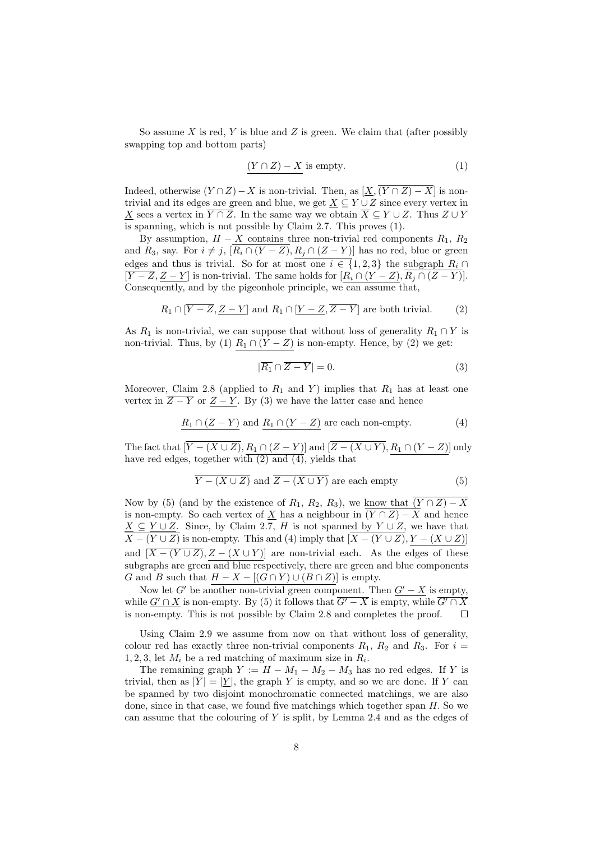So assume  $X$  is red,  $Y$  is blue and  $Z$  is green. We claim that (after possibly swapping top and bottom parts)

$$
(Y \cap Z) - X \text{ is empty.} \tag{1}
$$

Indeed, otherwise  $(Y \cap Z) - X$  is non-trivial. Then, as  $[\underline{X},(\overline{Y \cap Z}) - \overline{X}]$  is nontrivial and its edges are green and blue, we get  $X \subseteq Y \cup Z$  since every vertex in X sees a vertex in  $\overline{Y \cap Z}$ . In the same way we obtain  $\overline{X} \subseteq Y \cup Z$ . Thus  $Z \cup Y$ is spanning, which is not possible by Claim 2.7. This proves (1).

By assumption,  $H - X$  contains three non-trivial red components  $R_1, R_2$ and  $R_3$ , say. For  $i \neq j$ ,  $\overline{R_i \cap (Y - Z)}$ ,  $R_j \cap (Z - Y)$ ] has no red, blue or green edges and thus is trivial. So for at most one  $i \in \{1,2,3\}$  the subgraph  $R_i \cap$  $[\overline{Y-Z}, \underline{Z-Y}]$  is non-trivial. The same holds for  $[R_i \cap (Y-Z), R_j \cap (Z-Y)].$ Consequently, and by the pigeonhole principle, we can assume that,

$$
R_1 \cap [\overline{Y - Z}, \underline{Z - Y}] \text{ and } R_1 \cap [\underline{Y - Z}, \overline{Z - Y}] \text{ are both trivial.}
$$
 (2)

As  $R_1$  is non-trivial, we can suppose that without loss of generality  $R_1 \cap Y$  is non-trivial. Thus, by (1)  $R_1 \cap (Y - Z)$  is non-empty. Hence, by (2) we get:

$$
|\overline{R_1} \cap \overline{Z - Y}| = 0. \tag{3}
$$

Moreover, Claim 2.8 (applied to  $R_1$  and Y) implies that  $R_1$  has at least one vertex in  $Z - Y$  or  $Z - Y$ . By (3) we have the latter case and hence

$$
\underline{R_1 \cap (Z - Y)} \text{ and } \underline{R_1 \cap (Y - Z)} \text{ are each non-empty.} \tag{4}
$$

The fact that  $[\overline{Y-(X\cup Z)}, R_1\cap (Z-Y)]$  and  $[\overline{Z-(X\cup Y)}, R_1\cap (Y-Z)]$  only have red edges, together with  $(2)$  and  $(4)$ , yields that

$$
\overline{Y - (X \cup Z)}
$$
 and  $\overline{Z - (X \cup Y)}$  are each empty (5)

Now by (5) (and by the existence of  $R_1, R_2, R_3$ ), we know that  $\overline{(Y \cap Z) - X}$ is non-empty. So each vertex of X has a neighbour in  $\overline{(Y \cap Z) - X}$  and hence  $\underline{X} \subseteq \underline{Y \cup Z}$ . Since, by Claim 2.7, H is not spanned by  $Y \cup Z$ , we have that  $X - (Y \cup Z)$  is non-empty. This and (4) imply that  $[X - (Y \cup Z), Y - (X \cup Z)]$ and  $[\overline{X-(Y\cup Z)},Z-(X\cup Y)]$  are non-trivial each. As the edges of these subgraphs are green and blue respectively, there are green and blue components G and B such that  $H - X - [(G \cap Y) \cup (B \cap Z)]$  is empty.

Now let G' be another non-trivial green component. Then  $G'-X$  is empty, while  $G' \cap X$  is non-empty. By (5) it follows that  $G' - X$  is empty, while  $G' \cap X$ is non-empty. This is not possible by Claim 2.8 and completes the proof.  $\Box$ 

Using Claim 2.9 we assume from now on that without loss of generality, colour red has exactly three non-trivial components  $R_1$ ,  $R_2$  and  $R_3$ . For  $i =$ 1, 2, 3, let  $M_i$  be a red matching of maximum size in  $R_i$ .

The remaining graph  $Y := H - M_1 - M_2 - M_3$  has no red edges. If Y is trivial, then as  $|\overline{Y}| = |\underline{Y}|$ , the graph Y is empty, and so we are done. If Y can be spanned by two disjoint monochromatic connected matchings, we are also done, since in that case, we found five matchings which together span H. So we can assume that the colouring of  $Y$  is split, by Lemma 2.4 and as the edges of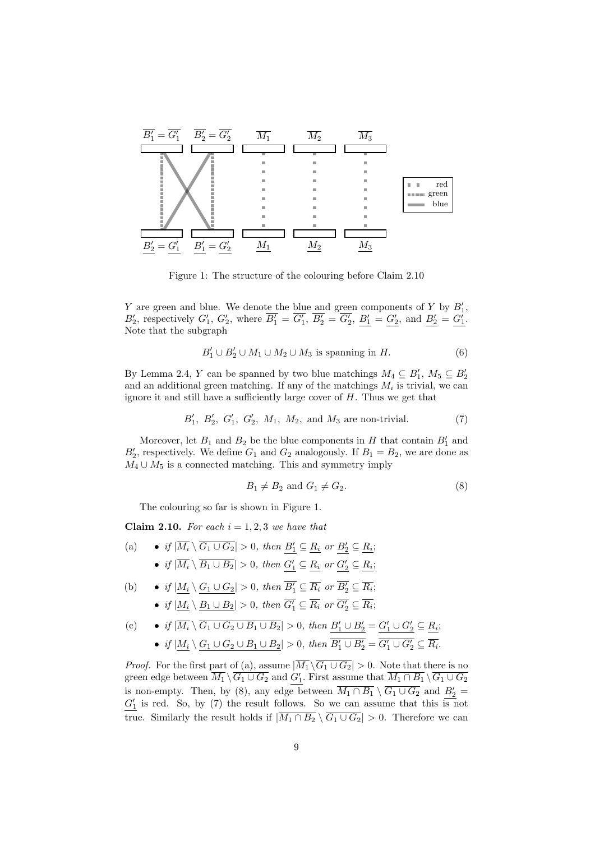

Figure 1: The structure of the colouring before Claim 2.10

Y are green and blue. We denote the blue and green components of Y by  $B'_1$ ,  $B'_2$ , respectively  $G'_1$ ,  $G'_2$ , where  $\overline{B'_1} = \overline{G'_1}$ ,  $\overline{B'_2} = \overline{G'_2}$ ,  $\underline{B'_1} = \underline{G'_2}$ , and  $\underline{B'_2} = \underline{G'_1}$ . Note that the subgraph

$$
B'_1 \cup B'_2 \cup M_1 \cup M_2 \cup M_3 \text{ is spanning in } H. \tag{6}
$$

By Lemma 2.4, Y can be spanned by two blue matchings  $M_4 \subseteq B'_1$ ,  $M_5 \subseteq B'_2$ and an additional green matching. If any of the matchings  $M_i$  is trivial, we can ignore it and still have a sufficiently large cover of  $H$ . Thus we get that

$$
B'_1, B'_2, G'_1, G'_2, M_1, M_2,
$$
 and  $M_3$  are non-trivial. (7)

Moreover, let  $B_1$  and  $B_2$  be the blue components in H that contain  $B_1'$  and  $B'_{2}$ , respectively. We define  $G_{1}$  and  $G_{2}$  analogously. If  $B_{1} = B_{2}$ , we are done as  $M_4 \cup M_5$  is a connected matching. This and symmetry imply

$$
B_1 \neq B_2 \text{ and } G_1 \neq G_2. \tag{8}
$$

The colouring so far is shown in Figure 1.

**Claim 2.10.** For each  $i = 1, 2, 3$  we have that

- (a) if  $|\overline{M_i} \setminus \overline{G_1 \cup G_2}| > 0$ , then  $B'_1 \subseteq \underline{R_i}$  or  $B'_2 \subseteq \underline{R_i}$ ; • if  $|\overline{M_i} \setminus \overline{B_1 \cup B_2}| > 0$ , then  $\underline{G'_1} \subseteq \underline{R_i}$  or  $\underline{G'_2} \subseteq \underline{R_i}$ ;
- (b) if  $|\underline{M_i} \setminus \underline{G_1 \cup G_2}| > 0$ , then  $\overline{B'_1} \subseteq \overline{R_i}$  or  $\overline{B'_2} \subseteq \overline{R_i}$ ;
	- if  $|\underline{M_i} \setminus \underline{B_1 \cup B_2}| > 0$ , then  $\overline{G'_1} \subseteq \overline{R_i}$  or  $\overline{G'_2} \subseteq \overline{R_i}$ ;

(c) 
$$
\bullet
$$
 if  $|\overline{M_i} \setminus \overline{G_1 \cup G_2 \cup B_1 \cup B_2}| > 0$ , then  $\underline{B'_1 \cup B'_2} = \underline{G'_1 \cup G'_2} \subseteq \underline{R_i}$ ;  
 $\bullet$  if  $|\underline{M_i} \setminus \underline{G_1 \cup G_2 \cup B_1 \cup B_2}| > 0$ , then  $\overline{B'_1 \cup B'_2} = \overline{G'_1 \cup G'_2} \subseteq \overline{R_i}$ .

*Proof.* For the first part of (a), assume  $|\overline{M_1} \setminus \overline{G_1 \cup G_2}| > 0$ . Note that there is no green edge between  $\overline{M_1} \setminus \overline{G_1 \cup G_2}$  and  $G'_1$ . First assume that  $\overline{M_1 \cap B_1} \setminus \overline{G_1 \cup G_2}$ is non-empty. Then, by (8), any edge between  $\overline{M_1 \cap B_1} \setminus \overline{G_1 \cup G_2}$  and  $B_2' =$  $G_1'$  is red. So, by (7) the result follows. So we can assume that this is not true. Similarly the result holds if  $|\overline{M_1 \cap B_2} \setminus \overline{G_1 \cup G_2}| > 0$ . Therefore we can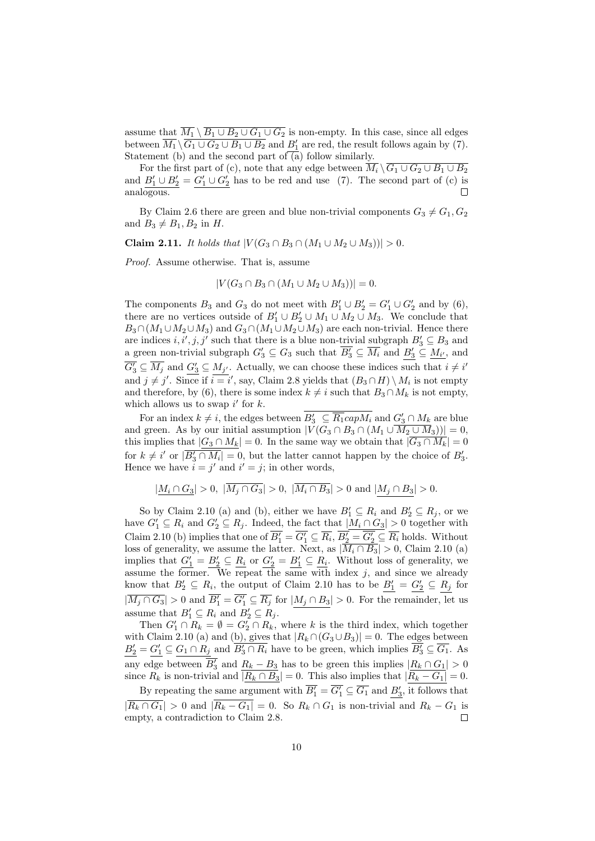assume that  $\overline{M_1} \setminus \overline{B_1 \cup B_2 \cup G_1 \cup G_2}$  is non-empty. In this case, since all edges between  $\overline{M_1} \setminus \overline{G_1 \cup G_2 \cup B_1 \cup B_2}$  and  $B'_1$  are red, the result follows again by (7). Statement (b) and the second part of  $\overline{(a)}$  follow similarly.

For the first part of (c), note that any edge between  $\overline{M_i} \setminus \overline{G_1 \cup G_2 \cup B_1 \cup B_2}$ and  $B'_1 \cup B'_2 = G'_1 \cup G'_2$  has to be red and use (7). The second part of (c) is analogous.

By Claim 2.6 there are green and blue non-trivial components  $G_3 \neq G_1, G_2$ and  $B_3 \neq B_1, B_2$  in H.

**Claim 2.11.** *It holds that*  $|V(G_3 \cap B_3 \cap (M_1 \cup M_2 \cup M_3))| > 0$ .

Proof. Assume otherwise. That is, assume

$$
|V(G_3 \cap B_3 \cap (M_1 \cup M_2 \cup M_3))| = 0.
$$

The components  $B_3$  and  $G_3$  do not meet with  $B'_1 \cup B'_2 = G'_1 \cup G'_2$  and by (6), there are no vertices outside of  $B'_1 \cup B'_2 \cup M_1 \cup M_2 \cup M_3$ . We conclude that  $B_3 \cap (M_1 \cup M_2 \cup M_3)$  and  $G_3 \cap (M_1 \cup M_2 \cup M_3)$  are each non-trivial. Hence there are indices  $i, i', j, j'$  such that there is a blue non-trivial subgraph  $B'_3 \subseteq B_3$  and a green non-trivial subgraph  $G'_3 \subseteq G_3$  such that  $\overline{B'_3} \subseteq \overline{M_i}$  and  $\underline{B'_3} \subseteq \underline{M_{i'}}$ , and  $\overline{G'_3} \subseteq \overline{M}_j$  and  $\underline{G'_3} \subseteq M_{j'}$ . Actually, we can choose these indices such that  $i \neq i'$ and  $j \neq j'$ . Since if  $i = i'$ , say, Claim 2.8 yields that  $(B_3 \cap H) \setminus M_i$  is not empty and therefore, by (6), there is some index  $k \neq i$  such that  $B_3 \cap M_k$  is not empty, which allows us to swap  $i'$  for  $k$ .

For an index  $k \neq i$ , the edges between  $B'_3 \subseteq \overline{R_1} \text{cap} M_i$  and  $G'_3 \cap M_k$  are blue and green. As by our initial assumption  $|V(G_3 \cap B_3 \cap (M_1 \cup \overline{M_2 \cup M_3}))|=0$ , this implies that  $|G_3 \cap M_k| = 0$ . In the same way we obtain that  $|\overline{G_3 \cap M_k}| = 0$ for  $k \neq i'$  or  $|\overline{B'_3 \cap M_i}| = 0$ , but the latter cannot happen by the choice of  $B'_3$ . Hence we have  $i = j'$  and  $i' = j$ ; in other words,

$$
|\underline{M_i\cap G_3}|>0, \ |\overline{M_j\cap G_3}|>0, \ |\overline{M_i\cap B_3}|>0 \text{ and } |\underline{M_j\cap B_3}|>0.
$$

So by Claim 2.10 (a) and (b), either we have  $B'_1 \subseteq R_i$  and  $B'_2 \subseteq R_j$ , or we have  $G'_1 \subseteq R_i$  and  $G'_2 \subseteq R_j$ . Indeed, the fact that  $|\underline{M_i \cap G_3}| > 0$  together with Claim 2.10 (b) implies that one of  $\overline{B'_1} = \overline{G'_1} \subseteq \overline{R_i}$ ,  $\overline{B'_2} = \overline{G'_2} \subseteq \overline{R_i}$  holds. Without loss of generality, we assume the latter. Next, as  $|M_i \cap B_3| > 0$ , Claim 2.10 (a) implies that  $G_1' = B_2' \subseteq \underline{R_i}$  or  $G_2' = B_1' \subseteq \underline{R_i}$ . Without loss of generality, we assume the former. We repeat the same with index  $j$ , and since we already know that  $B'_2 \subseteq R_i$ , the output of Claim 2.10 has to be  $B'_1 = G'_2 \subseteq R_j$  for  $|\overline{M_j \cap G_3}| > 0$  and  $\overline{B'_1} = \overline{G'_1} \subseteq \overline{R_j}$  for  $|M_j \cap B_3| > 0$ . For the remainder, let us assume that  $B'_1 \subseteq R_i$  and  $B'_2 \subseteq R_j$ .

Then  $G'_1 \cap R_k = \emptyset = G'_2 \cap R_k$ , where k is the third index, which together with Claim 2.10 (a) and (b), gives that  $|R_k \cap (G_3 \cup B_3)| = 0$ . The edges between  $\underline{B'_2} = \underline{G'_1} \subseteq G_1 \cap R_j$  and  $\overline{B'_3} \cap R_i$  have to be green, which implies  $\overline{B'_3} \subseteq \overline{G_1}$ . As any edge between  $\overline{B'_3}$  and  $\underline{R_k - B_3}$  has to be green this implies  $|\underline{R_k \cap G_1}| > 0$ since  $R_k$  is non-trivial and  $|R_k \cap B_3| = 0$ . This also implies that  $|R_k - G_1| = 0$ .

By repeating the same argument with  $\overline{B'_1} = \overline{G'_1} \subseteq \overline{G_1}$  and  $\underline{B'_3}$ , it follows that  $|\overline{R_k \cap G_1}| > 0$  and  $|\overline{R_k - G_1}| = 0$ . So  $R_k \cap G_1$  is non-trivial and  $R_k - G_1$  is empty, a contradiction to Claim 2.8.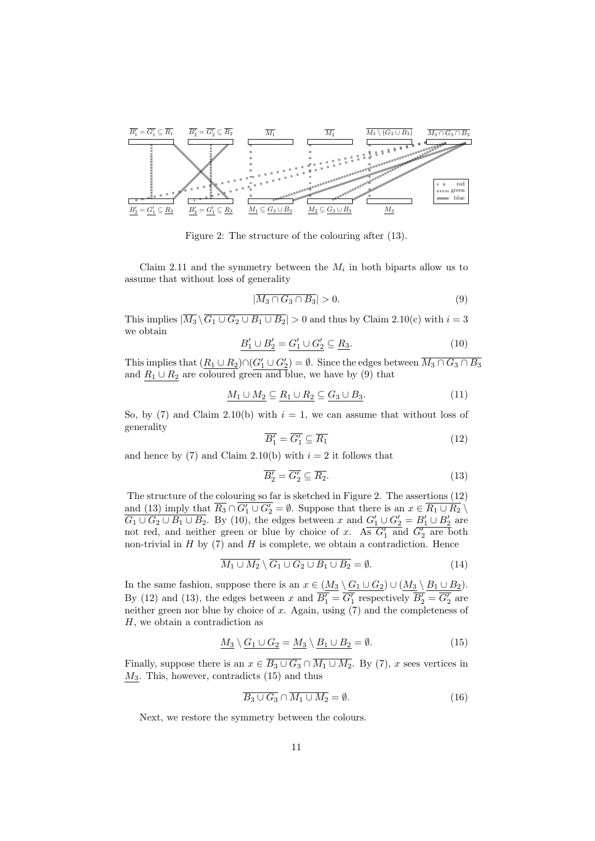

Figure 2: The structure of the colouring after (13).

Claim 2.11 and the symmetry between the  $M_i$  in both biparts allow us to assume that without loss of generality

$$
|\overline{M_3 \cap G_3 \cap B_3}| > 0. \tag{9}
$$

This implies  $|\overline{M_3} \setminus \overline{G_1 \cup G_2 \cup B_1 \cup B_2}| > 0$  and thus by Claim 2.10(c) with  $i = 3$ we obtain

$$
\underline{B'_1 \cup B'_2} = \underline{G'_1 \cup G'_2} \subseteq \underline{R_3}.\tag{10}
$$

This implies that  $(\underline{R_1 \cup R_2}) \cap (G'_1 \cup G'_2) = \emptyset$ . Since the edges between  $\overline{M_3 \cap G_3 \cap B_3}$ and  $\underline{R_1 \cup R_2}$  are coloured green and blue, we have by (9) that

$$
\underline{M_1 \cup M_2} \subseteq \underline{R_1 \cup R_2} \subseteq \underline{G_3 \cup B_3}.\tag{11}
$$

So, by (7) and Claim 2.10(b) with  $i = 1$ , we can assume that without loss of generality

$$
\overline{B'_1} = \overline{G'_1} \subseteq \overline{R_1} \tag{12}
$$

and hence by (7) and Claim 2.10(b) with  $i = 2$  it follows that

$$
\overline{B_2'} = \overline{G_2'} \subseteq \overline{R_2}.
$$
\n(13)

The structure of the colouring so far is sketched in Figure 2. The assertions (12) and (13) imply that  $\overline{R_3} \cap \overline{G'_1 \cup G'_2} = \emptyset$ . Suppose that there is an  $x \in \overline{R_1 \cup R_2} \setminus \overline{R_2}$  $\overline{G_1 \cup G_2 \cup B_1 \cup B_2}$ . By (10), the edges between x and  $G'_1 \cup G'_2 = B'_1 \cup B'_2$  are not red, and neither green or blue by choice of x. As  $G'_1$  and  $\overline{G'_2}$  are both non-trivial in  $H$  by  $(7)$  and  $H$  is complete, we obtain a contradiction. Hence

$$
\overline{M_1 \cup M_2} \setminus \overline{G_1 \cup G_2 \cup B_1 \cup B_2} = \emptyset. \tag{14}
$$

In the same fashion, suppose there is an  $x \in (M_3 \setminus G_1 \cup G_2) \cup (M_3 \setminus B_1 \cup B_2)$ . By (12) and (13), the edges between x and  $\overline{B'_1} = \overline{G'_1}$  respectively  $\overline{B'_2} = \overline{G'_2}$  are neither green nor blue by choice of  $x$ . Again, using  $(7)$  and the completeness of H, we obtain a contradiction as

$$
\underline{M_3} \setminus \underline{G_1 \cup G_2} = \underline{M_3} \setminus \underline{B_1 \cup B_2} = \emptyset. \tag{15}
$$

Finally, suppose there is an  $x \in \overline{B_3 \cup G_3} \cap \overline{M_1 \cup M_2}$ . By (7), x sees vertices in  $M_3$ . This, however, contradicts  $(15)$  and thus

$$
\overline{B_3 \cup G_3} \cap \overline{M_1 \cup M_2} = \emptyset. \tag{16}
$$

Next, we restore the symmetry between the colours.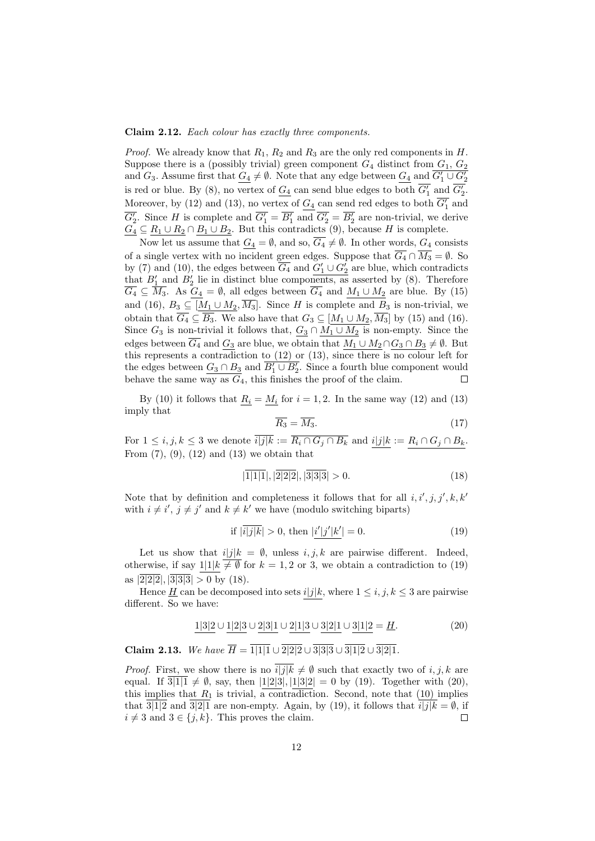#### Claim 2.12. Each colour has exactly three components.

*Proof.* We already know that  $R_1$ ,  $R_2$  and  $R_3$  are the only red components in  $H$ . Suppose there is a (possibly trivial) green component  $G_4$  distinct from  $G_1, G_2$ and  $G_3$ . Assume first that  $\underline{G_4} \neq \emptyset$ . Note that any edge between  $\underline{G_4}$  and  $\overline{G'_1 \cup G'_2}$ is red or blue. By (8), no vertex of  $\underline{G_4}$  can send blue edges to both  $\overline{G'_1}$  and  $\overline{G'_2}$ . Moreover, by (12) and (13), no vertex of  $\underline{G_4}$  can send red edges to both  $\overline{G'_1}$  and  $\overline{G_2'}$ . Since H is complete and  $\overline{G_1'} = \overline{B_1'}$  and  $\overline{G_2'} = \overline{B_2'}$  are non-trivial, we derive  $G_4 \subseteq R_1 \cup R_2 \cap B_1 \cup B_2$ . But this contradicts (9), because H is complete.

Now let us assume that  $G_4 = \emptyset$ , and so,  $\overline{G_4} \neq \emptyset$ . In other words,  $G_4$  consists of a single vertex with no incident green edges. Suppose that  $\overline{G_4} \cap \overline{M_3} = \emptyset$ . So by (7) and (10), the edges between  $\overline{G_4}$  and  $G'_1 \cup G'_2$  are blue, which contradicts that  $B'_1$  and  $B'_2$  lie in distinct blue components, as asserted by (8). Therefore  $\overline{G_4} \subseteq \overline{M_3}$ . As  $\underline{G_4} = \emptyset$ , all edges between  $\overline{G_4}$  and  $\underline{M_1 \cup M_2}$  are blue. By (15) and (16),  $B_3 \subseteq [M_1 \cup M_2, \overline{M_3}]$ . Since H is complete and  $B_3$  is non-trivial, we obtain that  $G_4 \subseteq B_3$ . We also have that  $G_3 \subseteq [M_1 \cup M_2, M_3]$  by (15) and (16). Since  $G_3$  is non-trivial it follows that,  $G_3 \cap M_1 \cup M_2$  is non-empty. Since the edges between  $\overline{G_4}$  and  $G_3$  are blue, we obtain that  $M_1 \cup M_2 \cap G_3 \cap B_3 \neq \emptyset$ . But this represents a contradiction to (12) or (13), since there is no colour left for the edges between  $\underline{G_3 \cap B_3}$  and  $\overline{B'_1 \cup B'_2}$ . Since a fourth blue component would behave the same way as  $G_4$ , this finishes the proof of the claim.  $\Box$ 

By (10) it follows that  $R_i = M_i$  for  $i = 1, 2$ . In the same way (12) and (13) imply that

$$
\overline{R_3} = \overline{M_3}.\tag{17}
$$

For  $1 \le i, j, k \le 3$  we denote  $\overline{i|j|k} := \overline{R_i \cap G_j \cap B_k}$  and  $i|j|k := R_i \cap G_j \cap B_k$ . From  $(7)$ ,  $(9)$ ,  $(12)$  and  $(13)$  we obtain that

$$
|1|1|1|, |2|2|2|, |3|3|3| > 0.
$$
\n<sup>(18)</sup>

Note that by definition and completeness it follows that for all  $i, i', j, j', k, k'$ with  $i \neq i'$ ,  $j \neq j'$  and  $k \neq k'$  we have (modulo switching biparts)

if 
$$
|\overline{i|j|k}| > 0
$$
, then  $|i'|j'|k'| = 0$ . (19)

Let us show that  $i|j|k = \emptyset$ , unless  $i, j, k$  are pairwise different. Indeed, otherwise, if say  $1|1|k \neq \emptyset$  for  $k = 1, 2$  or 3, we obtain a contradiction to (19) as  $|\overline{2|2|2}|, |\overline{3|3|3}| > 0$  by (18).

Hence  $\underline{H}$  can be decomposed into sets  $i|j|k$ , where  $1 \leq i, j, k \leq 3$  are pairwise different. So we have:

$$
\underline{1|3|2} \cup \underline{1|2|3} \cup \underline{2|3|1} \cup \underline{2|1|3} \cup \underline{3|2|1} \cup \underline{3|1|2} = \underline{H}.
$$
 (20)

Claim 2.13. We have  $\overline{H} = \overline{1|1|1} \cup \overline{2|2|2} \cup \overline{3|3|3} \cup \overline{3|1|2} \cup \overline{3|2|1}$ .

*Proof.* First, we show there is no  $i|j|k \neq \emptyset$  such that exactly two of  $i, j, k$  are equal. If  $\overline{3|1|1} \neq \emptyset$ , say, then  $|1|2|3|, |1|3|2| = 0$  by (19). Together with (20), this implies that  $R_1$  is trivial, a contradiction. Second, note that (10) implies that  $\overline{3|1|2}$  and  $\overline{3|2|1}$  are non-empty. Again, by (19), it follows that  $i|j|k = \emptyset$ , if  $i \neq 3$  and  $3 \in \{j, k\}$ . This proves the claim.  $\Box$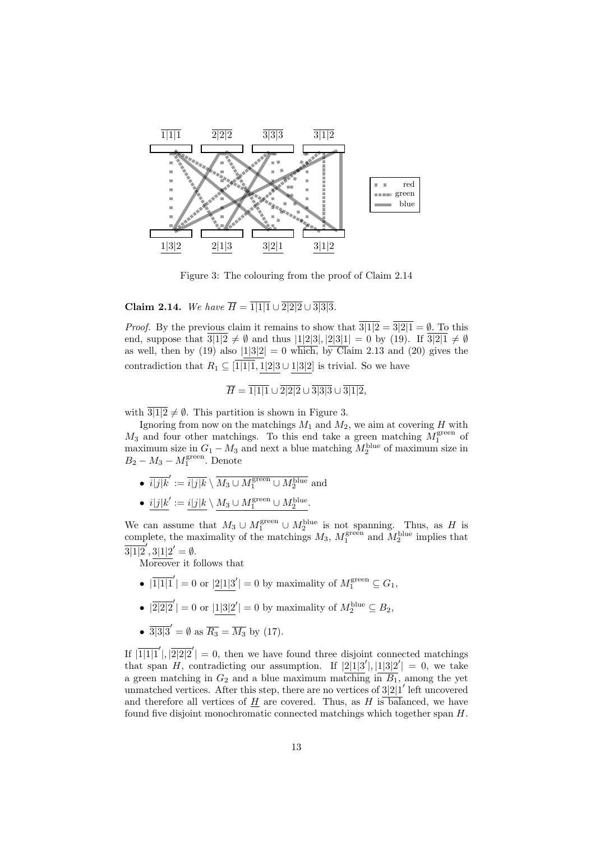

Figure 3: The colouring from the proof of Claim 2.14

Claim 2.14. We have  $\overline{H} = \overline{1|1|1} \cup \overline{2|2|2} \cup \overline{3|3|3}$ .

*Proof.* By the previous claim it remains to show that  $\overline{3|1|2} = \overline{3|2|1} = \emptyset$ . To this end, suppose that  $3|1|2 \neq \emptyset$  and thus  $|1|2|3|, |2|3|1| = 0$  by (19). If  $3|2|1 \neq \emptyset$ as well, then by (19) also  $|1|3|2| = 0$  which, by Claim 2.13 and (20) gives the contradiction that  $R_1 \subseteq \overline{1|1|1}$ , 1|2|3 ∪ 1|3|2| is trivial. So we have

$$
\overline{H} = \overline{1|1|1} \cup \overline{2|2|2} \cup \overline{3|3|3} \cup \overline{3|1|2},
$$

with  $\frac{3|1|2}{2} \neq \emptyset$ . This partition is shown in Figure 3.

Ignoring from now on the matchings  $M_1$  and  $M_2$ , we aim at covering H with  $M_3$  and four other matchings. To this end take a green matching  $M_1^{\text{green}}$  of  $\frac{1}{2}$  and four other matchings. To this end take a green matching  $M_1$  or maximum size in  $G_1 - M_3$  and next a blue matching  $M_2^{\text{blue}}$  of maximum size in  $B_2 - M_3 - M_1^{\text{green}}$ . Denote

- $\overline{i|j|k}' := \overline{i|j|k} \setminus \overline{M_3 \cup M_1^{\rm green} \cup M_2^{\rm blue}}$  and
- $i|j|k' := i|j|k \setminus M_3 \cup M_1^{\text{green}} \cup M_2^{\text{blue}}.$

We can assume that  $M_3 \cup M_1^{\text{green}} \cup M_2^{\text{blue}}$  is not spanning. Thus, as H is complete, the maximality of the matchings  $M_3$ ,  $M_1^{\text{green}}$  and  $M_2^{\text{blue}}$  implies that  $\overline{3|1|2}',$   $3|1|2'=\emptyset$ .

Moreover it follows that

- $|\overline{1|1|1}'| = 0$  or  $|2|1|3'| = 0$  by maximality of  $M_1^{\text{green}} \subseteq G_1$ ,
- $|\overline{2|2|2}'| = 0$  or  $|1|3|2'| = 0$  by maximality of  $M_2^{\text{blue}} \subseteq B_2$ ,
- $\frac{1}{3|3|3'} = \emptyset$  as  $\overline{R_3} = \overline{M_3}$  by (17).

If  $|\overline{1}| \overline{1}| \overline{1}| \overline{1}|$ ,  $|\overline{2}| \overline{2}| \overline{2}| = 0$ , then we have found three disjoint connected matchings that span H, contradicting our assumption. If  $|2|1|3'|, |1|3|2'| = 0$ , we take a green matching in  $G_2$  and a blue maximum matching in  $\overline{B_1}$ , among the yet unmatched vertices. After this step, there are no vertices of  $3|2|1'$  left uncovered and therefore all vertices of  $\underline{H}$  are covered. Thus, as H is balanced, we have found five disjoint monochromatic connected matchings which together span H.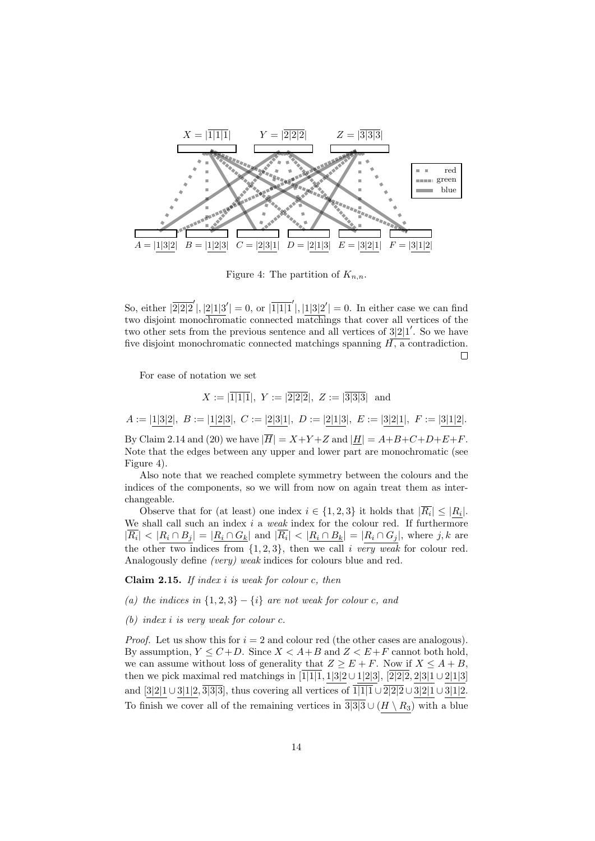

Figure 4: The partition of  $K_{n,n}$ .

So, either  $\sqrt{2|2|2}'$ ,  $\sqrt{2|1|3'|} = 0$ , or  $\sqrt{1|1|1'|}$ ,  $\sqrt{1|3|2'|} = 0$ . In either case we can find two disjoint monochromatic connected matchings that cover all vertices of the two other sets from the previous sentence and all vertices of  $3|2|1'$ . So we have five disjoint monochromatic connected matchings spanning  $H$ , a contradiction.  $\Box$ 

For ease of notation we set

 $X := |\overline{1|1|1}$ ,  $Y := |\overline{2|2|2}$ ,  $Z := |\overline{3|3|3}|\$  and  $A := |1|3|2$ ,  $B := |1|2|3$ ,  $C := |2|3|1$ ,  $D := |2|1|3$ ,  $E := |3|2|1$ ,  $F := |3|1|2$ .

By Claim 2.14 and (20) we have  $|\overline{H}| = X+Y+Z$  and  $|H| = A+B+C+D+E+F$ . Note that the edges between any upper and lower part are monochromatic (see Figure 4).

Also note that we reached complete symmetry between the colours and the indices of the components, so we will from now on again treat them as interchangeable.

Observe that for (at least) one index  $i \in \{1,2,3\}$  it holds that  $|R_i| \leq |R_i|$ . We shall call such an index i a weak index for the colour red. If furthermore  $|\overline{R_i}| < |R_i \cap B_j| = |R_i \cap G_k|$  and  $|\overline{R_i}| < |R_i \cap B_k| = |R_i \cap G_j|$ , where j, k are the other two indices from  $\{1, 2, 3\}$ , then we call i very weak for colour red. Analogously define (very) weak indices for colours blue and red.

Claim 2.15. If index  $i$  is weak for colour  $c$ , then

- (a) the indices in  $\{1,2,3\} \{i\}$  are not weak for colour c, and
- (b) index i is very weak for colour c.

*Proof.* Let us show this for  $i = 2$  and colour red (the other cases are analogous). By assumption,  $Y \leq C + D$ . Since  $X < A + B$  and  $Z < E + F$  cannot both hold, we can assume without loss of generality that  $Z \geq E + F$ . Now if  $X \leq A + B$ . then we pick maximal red matchings in  $\overline{1|1|1}$ , 1|3|2 ∪ 1|2|3|,  $\overline{2|2|2}$ , 2|3|1 ∪ 2|1|3| and [3|2|1∪3|1|2,  $\overline{3|3|3|}$ , thus covering all vertices of  $\overline{1|1|1} \cup \overline{2|2|2} \cup 3|2|1 \cup 3|1|2$ . To finish we cover all of the remaining vertices in  $\overline{3|3|3} \cup (H \setminus R_3)$  with a blue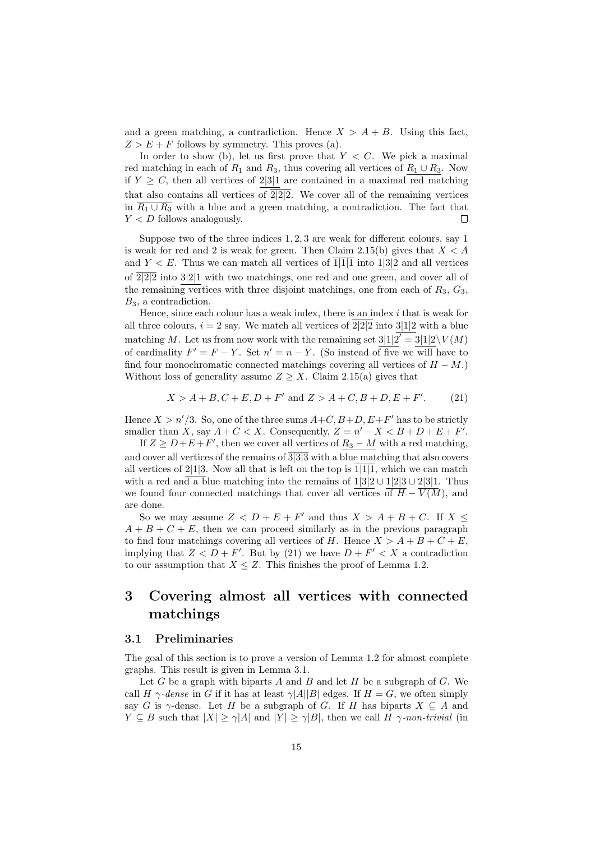and a green matching, a contradiction. Hence  $X > A + B$ . Using this fact,  $Z > E + F$  follows by symmetry. This proves (a).

In order to show (b), let us first prove that  $Y \leq C$ . We pick a maximal red matching in each of  $R_1$  and  $R_3$ , thus covering all vertices of  $R_1 \cup R_3$ . Now if  $Y \geq C$ , then all vertices of 2.3.1 are contained in a maximal red matching that also contains all vertices of  $\overline{2|2|2}$ . We cover all of the remaining vertices in  $\overline{R_1 \cup R_3}$  with a blue and a green matching, a contradiction. The fact that  $Y < D$  follows analogously. П

Suppose two of the three indices 1, 2, 3 are weak for different colours, say 1 is weak for red and 2 is weak for green. Then Claim 2.15(b) gives that  $X < A$ and  $Y \leq E$ . Thus we can match all vertices of 1|1|1 into 1|3|2 and all vertices of  $\overline{2|2|2}$  into  $3|2|1$  with two matchings, one red and one green, and cover all of the remaining vertices with three disjoint matchings, one from each of  $R_3, G_3$ ,  $B_3$ , a contradiction.

Hence, since each colour has a weak index, there is an index  $i$  that is weak for all three colours,  $i = 2$  say. We match all vertices of  $\overline{2|2|2}$  into  $3|1|2$  with a blue matching M. Let us from now work with the remaining set  $3|1|2' = 3|1|2 \setminus V(M)$ of cardinality  $F' = F - Y$ . Set  $n' = n - Y$ . (So instead of five we will have to find four monochromatic connected matchings covering all vertices of  $H - M$ .) Without loss of generality assume  $Z \geq X$ . Claim 2.15(a) gives that

> $X > A + B, C + E, D + F'$  and  $Z > A + C, B + D, E + F'$  $(21)$

Hence  $X > n'/3$ . So, one of the three sums  $A+C, B+D, E+F'$  has to be strictly smaller than X, say  $A + C < X$ . Consequently,  $Z = n' - X < B + D + E + F'$ .

If  $Z \geq D + E + F'$ , then we cover all vertices of  $R_3 - M$  with a red matching, and cover all vertices of the remains of  $\overline{3|3|3}$  with a blue matching that also covers all vertices of 2. (1) 2. Now all that is left on the top is  $\overline{1|1|1}$ , which we can match with a red and a blue matching into the remains of  $1|3|2 \cup 1|2|3 \cup 2|3|1$ . Thus we found four connected matchings that cover all vertices of  $\overline{H} - \overline{V(M)}$ , and are done.

So we may assume  $Z < D + E + F'$  and thus  $X > A + B + C$ . If  $X \leq$  $A + B + C + E$ , then we can proceed similarly as in the previous paragraph to find four matchings covering all vertices of H. Hence  $X > A + B + C + E$ , implying that  $Z < D + F'$ . But by (21) we have  $D + F' < X$  a contradiction to our assumption that  $X \leq Z$ . This finishes the proof of Lemma 1.2.

# 3 Covering almost all vertices with connected matchings

### 3.1 Preliminaries

The goal of this section is to prove a version of Lemma 1.2 for almost complete graphs. This result is given in Lemma 3.1.

Let  $G$  be a graph with biparts  $A$  and  $B$  and let  $H$  be a subgraph of  $G$ . We call H  $\gamma$ -dense in G if it has at least  $\gamma$ |A||B| edges. If  $H = G$ , we often simply say G is  $\gamma$ -dense. Let H be a subgraph of G. If H has biparts  $X \subseteq A$  and  $Y \subseteq B$  such that  $|X| > \gamma |A|$  and  $|Y| > \gamma |B|$ , then we call H  $\gamma$ -non-trivial (in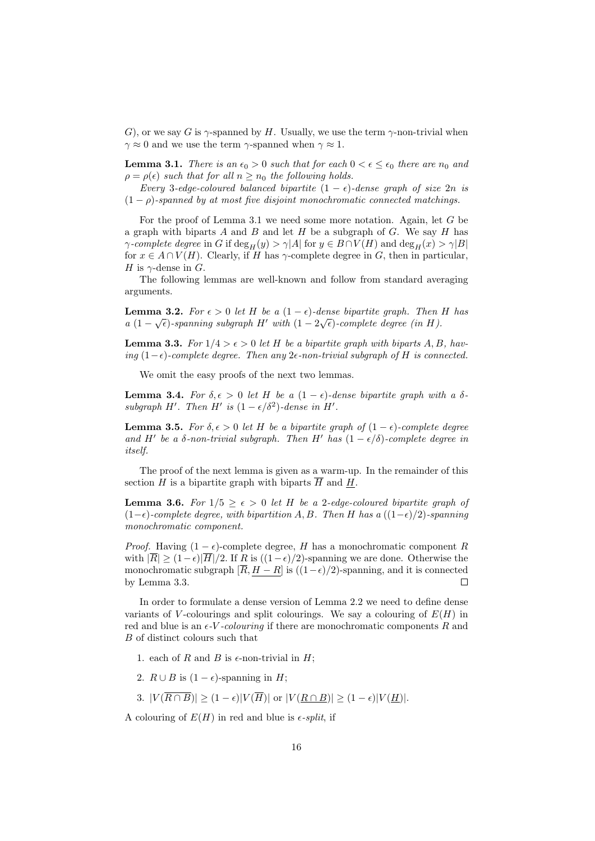G), or we say G is  $\gamma$ -spanned by H. Usually, we use the term  $\gamma$ -non-trivial when  $\gamma \approx 0$  and we use the term  $\gamma$ -spanned when  $\gamma \approx 1$ .

**Lemma 3.1.** There is an  $\epsilon_0 > 0$  such that for each  $0 < \epsilon \leq \epsilon_0$  there are  $n_0$  and  $\rho = \rho(\epsilon)$  such that for all  $n \geq n_0$  the following holds.

Every 3-edge-coloured balanced bipartite  $(1 - \epsilon)$ -dense graph of size  $2n$  is  $(1 - \rho)$ -spanned by at most five disjoint monochromatic connected matchings.

For the proof of Lemma 3.1 we need some more notation. Again, let G be a graph with biparts A and B and let H be a subgraph of G. We say H has  $\gamma$ -complete degree in G if  $\deg_H(y) > \gamma |A|$  for  $y \in B \cap V(H)$  and  $\deg_H(x) > \gamma |B|$ for  $x \in A \cap V(H)$ . Clearly, if H has  $\gamma$ -complete degree in G, then in particular, H is  $\gamma$ -dense in G.

The following lemmas are well-known and follow from standard averaging arguments.

**Lemma 3.2.** For  $\epsilon > 0$  let H be a  $(1 - \epsilon)$ -dense bipartite graph. Then H has a  $(1 - \sqrt{\epsilon})$ -spanning subgraph H' with  $(1 - 2\sqrt{\epsilon})$ -complete degree (in H).

**Lemma 3.3.** For  $1/4 > \epsilon > 0$  let H be a bipartite graph with biparts A, B, having (1− $\epsilon$ )-complete degree. Then any 2 $\epsilon$ -non-trivial subgraph of H is connected.

We omit the easy proofs of the next two lemmas.

**Lemma 3.4.** For  $\delta, \epsilon > 0$  let H be a  $(1 - \epsilon)$ -dense bipartite graph with a  $\delta$ subgraph H'. Then H' is  $(1 - \epsilon/\delta^2)$ -dense in H'.

**Lemma 3.5.** For  $\delta, \epsilon > 0$  let H be a bipartite graph of  $(1 - \epsilon)$ -complete degree and H' be a  $\delta$ -non-trivial subgraph. Then H' has  $(1 - \epsilon/\delta)$ -complete degree in itself.

The proof of the next lemma is given as a warm-up. In the remainder of this section H is a bipartite graph with biparts  $\overline{H}$  and  $\underline{H}$ .

**Lemma 3.6.** For  $1/5 > \epsilon > 0$  let H be a 2-edge-coloured bipartite graph of  $(1-\epsilon)$ -complete degree, with bipartition A, B. Then H has a  $((1-\epsilon)/2)$ -spanning monochromatic component.

*Proof.* Having  $(1 - \epsilon)$ -complete degree, H has a monochromatic component R with  $|\overline{R}| \geq (1-\epsilon)|\overline{H}|/2$ . If R is  $((1-\epsilon)/2)$ -spanning we are done. Otherwise the monochromatic subgraph  $[\overline{R}, H - R]$  is  $((1 - \epsilon)/2)$ -spanning, and it is connected by Lemma 3.3.  $\Box$ 

In order to formulate a dense version of Lemma 2.2 we need to define dense variants of V-colourings and split colourings. We say a colouring of  $E(H)$  in red and blue is an  $\epsilon$ -*V*-colouring if there are monochromatic components R and B of distinct colours such that

- 1. each of R and B is  $\epsilon$ -non-trivial in H;
- 2.  $R \cup B$  is  $(1 \epsilon)$ -spanning in H;
- 3.  $|V(\overline{R \cap B})| > (1 \epsilon)|V(\overline{H})|$  or  $|V(R \cap B)| > (1 \epsilon)|V(H)|$ .

A colouring of  $E(H)$  in red and blue is  $\epsilon$ -split, if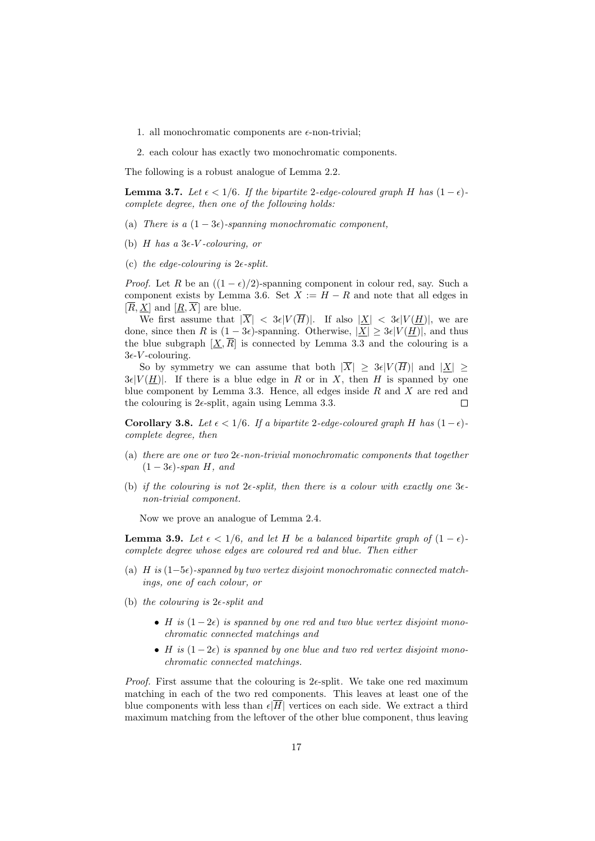- 1. all monochromatic components are  $\epsilon$ -non-trivial;
- 2. each colour has exactly two monochromatic components.

The following is a robust analogue of Lemma 2.2.

**Lemma 3.7.** Let  $\epsilon < 1/6$ . If the bipartite 2-edge-coloured graph H has  $(1 - \epsilon)$ complete degree, then one of the following holds:

- (a) There is a  $(1-3\epsilon)$ -spanning monochromatic component,
- (b) H has a  $3\epsilon$ -V-colouring, or
- (c) the edge-colouring is  $2\epsilon$ -split.

*Proof.* Let R be an  $((1 - \epsilon)/2)$ -spanning component in colour red, say. Such a component exists by Lemma 3.6. Set  $X := H - R$  and note that all edges in  $[\overline{R}, \underline{X}]$  and  $[\underline{R}, \overline{X}]$  are blue.

We first assume that  $|\overline{X}| < 3\epsilon |V(\overline{H})|$ . If also  $|\underline{X}| < 3\epsilon |V(\underline{H})|$ , we are done, since then R is  $(1 - 3\epsilon)$ -spanning. Otherwise,  $|\underline{X}| \geq 3\epsilon |V(\underline{H})|$ , and thus the blue subgraph  $[\underline{X}, \overline{R}]$  is connected by Lemma 3.3 and the colouring is a  $3\epsilon$ -*V*-colouring.

So by symmetry we can assume that both  $|\overline{X}| \geq 3\epsilon |V(\overline{H})|$  and  $|X| \geq$  $3\epsilon|V(H)|$ . If there is a blue edge in R or in X, then H is spanned by one blue component by Lemma 3.3. Hence, all edges inside  $R$  and  $X$  are red and the colouring is  $2\epsilon$ -split, again using Lemma 3.3. П

Corollary 3.8. Let  $\epsilon < 1/6$ . If a bipartite 2-edge-coloured graph H has  $(1-\epsilon)$ complete degree, then

- (a) there are one or two  $2\epsilon$ -non-trivial monochromatic components that together  $(1-3\epsilon)$ -span H, and
- (b) if the colouring is not  $2\epsilon$ -split, then there is a colour with exactly one  $3\epsilon$ non-trivial component.

Now we prove an analogue of Lemma 2.4.

**Lemma 3.9.** Let  $\epsilon < 1/6$ , and let H be a balanced bipartite graph of  $(1 - \epsilon)$ complete degree whose edges are coloured red and blue. Then either

- (a) H is  $(1-5\epsilon)$ -spanned by two vertex disjoint monochromatic connected matchings, one of each colour, or
- (b) the colouring is  $2\epsilon$ -split and
	- H is  $(1-2\epsilon)$  is spanned by one red and two blue vertex disjoint monochromatic connected matchings and
	- H is  $(1-2\epsilon)$  is spanned by one blue and two red vertex disjoint monochromatic connected matchings.

*Proof.* First assume that the colouring is  $2\epsilon$ -split. We take one red maximum matching in each of the two red components. This leaves at least one of the blue components with less than  $\epsilon|\overline{H}|$  vertices on each side. We extract a third maximum matching from the leftover of the other blue component, thus leaving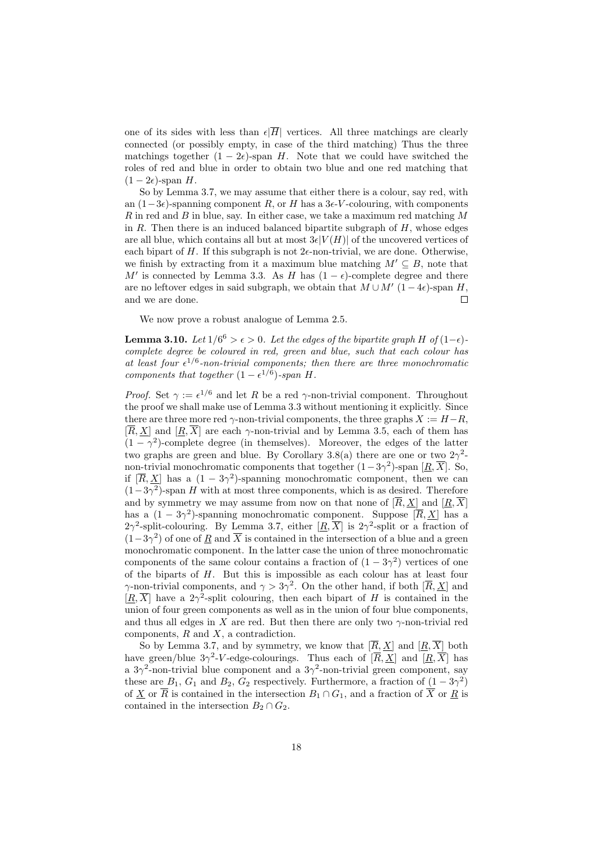one of its sides with less than  $\epsilon|\overline{H}|$  vertices. All three matchings are clearly connected (or possibly empty, in case of the third matching) Thus the three matchings together  $(1 - 2\epsilon)$ -span H. Note that we could have switched the roles of red and blue in order to obtain two blue and one red matching that  $(1 - 2\epsilon)$ -span H.

So by Lemma 3.7, we may assume that either there is a colour, say red, with an  $(1-3\epsilon)$ -spanning component R, or H has a 3 $\epsilon$ -V-colouring, with components R in red and B in blue, say. In either case, we take a maximum red matching  $M$ in  $R$ . Then there is an induced balanced bipartite subgraph of  $H$ , whose edges are all blue, which contains all but at most  $3\epsilon |V(H)|$  of the uncovered vertices of each bipart of H. If this subgraph is not  $2\epsilon$ -non-trivial, we are done. Otherwise, we finish by extracting from it a maximum blue matching  $M' \subseteq B$ , note that M' is connected by Lemma 3.3. As H has  $(1 - \epsilon)$ -complete degree and there are no leftover edges in said subgraph, we obtain that  $M \cup M'$  (1 – 4 $\epsilon$ )-span H, and we are done.  $\Box$ 

We now prove a robust analogue of Lemma 2.5.

**Lemma 3.10.** Let  $1/6^6 > \epsilon > 0$ . Let the edges of the bipartite graph H of  $(1-\epsilon)$ complete degree be coloured in red, green and blue, such that each colour has at least four  $\epsilon^{1/6}$ -non-trivial components; then there are three monochromatic components that together  $(1 - \epsilon^{1/6})$ -span H.

*Proof.* Set  $\gamma := \epsilon^{1/6}$  and let R be a red  $\gamma$ -non-trivial component. Throughout the proof we shall make use of Lemma 3.3 without mentioning it explicitly. Since there are three more red  $\gamma$ -non-trivial components, the three graphs  $X := H - R$ ,  $[\overline{R}, X]$  and  $[R, \overline{X}]$  are each  $\gamma$ -non-trivial and by Lemma 3.5, each of them has  $(1 - \gamma^2)$ -complete degree (in themselves). Moreover, the edges of the latter two graphs are green and blue. By Corollary 3.8(a) there are one or two  $2\gamma^2$ non-trivial monochromatic components that together  $(1-3\gamma^2)$ -span  $[\underline{R}, \overline{X}]$ . So, if  $[\overline{R}, \underline{X}]$  has a  $(1 - 3\gamma^2)$ -spanning monochromatic component, then we can  $(1-3\gamma^2)$ -span H with at most three components, which is as desired. Therefore and by symmetry we may assume from now on that none of  $[\overline{R}, \underline{X}]$  and  $[\underline{R}, \overline{X}]$ has a  $(1 - 3\gamma^2)$ -spanning monochromatic component. Suppose  $[\overline{R}, \underline{X}]$  has a 2 $\gamma^2$ -split-colouring. By Lemma 3.7, either  $[\underline{R}, \overline{X}]$  is 2 $\gamma^2$ -split or a fraction of  $(1-3\gamma^2)$  of one of  $\underline{R}$  and  $\overline{X}$  is contained in the intersection of a blue and a green monochromatic component. In the latter case the union of three monochromatic components of the same colour contains a fraction of  $(1 - 3\gamma^2)$  vertices of one of the biparts of H. But this is impossible as each colour has at least four  $\gamma$ -non-trivial components, and  $\gamma > 3\gamma^2$ . On the other hand, if both  $[\overline{R}, \underline{X}]$  and  $[\underline{R}, \overline{X}]$  have a 2 $\gamma^2$ -split colouring, then each bipart of H is contained in the union of four green components as well as in the union of four blue components, and thus all edges in X are red. But then there are only two  $\gamma$ -non-trivial red components,  $R$  and  $X$ , a contradiction.

So by Lemma 3.7, and by symmetry, we know that  $[\overline{R}, \underline{X}]$  and  $[\underline{R}, \overline{X}]$  both have green/blue  $3\gamma^2$ -V-edge-colourings. Thus each of  $[\overline{R}, \underline{X}]$  and  $[\underline{R}, \overline{X}]$  has a  $3\gamma^2$ -non-trivial blue component and a  $3\gamma^2$ -non-trivial green component, say these are  $B_1$ ,  $G_1$  and  $B_2$ ,  $G_2$  respectively. Furthermore, a fraction of  $(1-3\gamma^2)$ of X or  $\overline{R}$  is contained in the intersection  $B_1 \cap G_1$ , and a fraction of  $\overline{X}$  or  $R$  is contained in the intersection  $B_2 \cap G_2$ .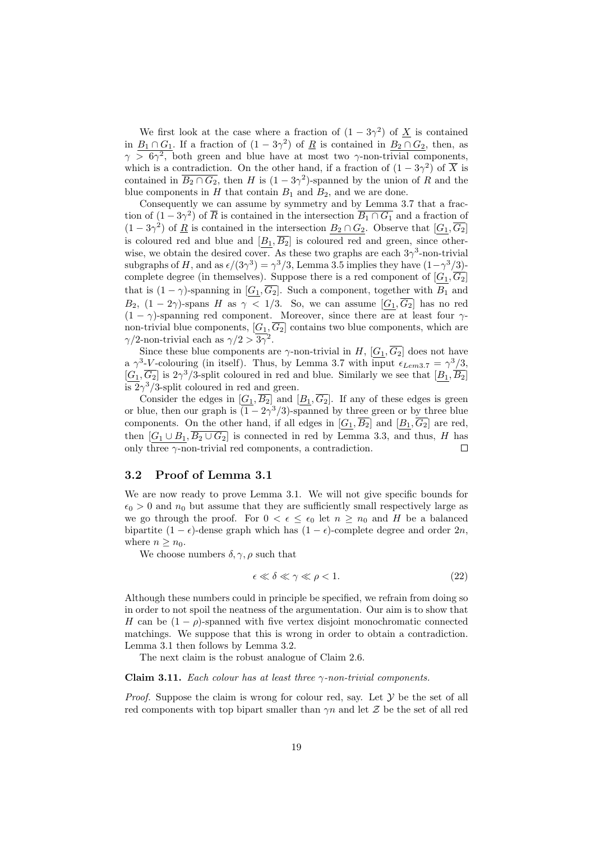We first look at the case where a fraction of  $(1 - 3\gamma^2)$  of  $\underline{X}$  is contained in  $B_1 \cap G_1$ . If a fraction of  $(1 - 3\gamma^2)$  of  $\underline{R}$  is contained in  $B_2 \cap G_2$ , then, as  $\gamma > 6\gamma^2$ , both green and blue have at most two  $\gamma$ -non-trivial components, which is a contradiction. On the other hand, if a fraction of  $(1 - 3\gamma^2)$  of  $\overline{X}$  is contained in  $\overline{B_2 \cap G_2}$ , then H is  $(1 - 3\gamma^2)$ -spanned by the union of R and the blue components in  $H$  that contain  $B_1$  and  $B_2$ , and we are done.

Consequently we can assume by symmetry and by Lemma 3.7 that a fraction of  $(1-3\gamma^2)$  of  $\overline{R}$  is contained in the intersection  $\overline{B_1 \cap G_1}$  and a fraction of  $(1-3\gamma^2)$  of  $\underline{R}$  is contained in the intersection  $B_2 \cap G_2$ . Observe that  $[G_1, \overline{G_2}]$ is coloured red and blue and  $[B_1, \overline{B_2}]$  is coloured red and green, since otherwise, we obtain the desired cover. As these two graphs are each  $3\gamma^3$ -non-trivial subgraphs of H, and as  $\epsilon/(3\gamma^3) = \gamma^3/3$ , Lemma 3.5 implies they have  $(1-\gamma^3/3)$ complete degree (in themselves). Suppose there is a red component of  $[G_1, \overline{G_2}]$ that is  $(1 - \gamma)$ -spanning in  $[G_1, \overline{G_2}]$ . Such a component, together with  $B_1$  and  $B_2$ ,  $(1-2\gamma)$ -spans H as  $\gamma < 1/3$ . So, we can assume  $[G_1,\overline{G_2}]$  has no red  $(1 - \gamma)$ -spanning red component. Moreover, since there are at least four  $\gamma$ non-trivial blue components,  $[G_1, \overline{G_2}]$  contains two blue components, which are  $\gamma/2$ -non-trivial each as  $\gamma/2 > 3\overline{\gamma^2}$ .

Since these blue components are  $\gamma$ -non-trivial in H,  $[G_1, \overline{G_2}]$  does not have a  $\gamma^3$ -V-colouring (in itself). Thus, by Lemma 3.7 with input  $\epsilon_{Lem3.7} = \gamma^3/3$ ,  $[G_1,\overline{G_2}]$  is  $2\gamma^3/3$ -split coloured in red and blue. Similarly we see that  $[B_1,\overline{B_2}]$  $\sqrt{2\gamma^3/3}$ -split coloured in red and green.

Consider the edges in  $[G_1, \overline{B_2}]$  and  $[B_1, \overline{G_2}]$ . If any of these edges is green or blue, then our graph is  $\overline{(1-2\gamma^3/3)}$ -spanned by three green or by three blue components. On the other hand, if all edges in  $[G_1, \overline{B_2}]$  and  $[B_1, \overline{G_2}]$  are red, then  $[G_1 \cup B_1, \overline{B_2 \cup G_2}]$  is connected in red by Lemma 3.3, and thus, H has only three  $\gamma$ -non-trivial red components, a contradiction. П

### 3.2 Proof of Lemma 3.1

We are now ready to prove Lemma 3.1. We will not give specific bounds for  $\epsilon_0 > 0$  and  $n_0$  but assume that they are sufficiently small respectively large as we go through the proof. For  $0 < \epsilon \leq \epsilon_0$  let  $n \geq n_0$  and H be a balanced bipartite  $(1 - \epsilon)$ -dense graph which has  $(1 - \epsilon)$ -complete degree and order  $2n$ , where  $n \geq n_0$ .

We choose numbers  $\delta, \gamma, \rho$  such that

$$
\epsilon \ll \delta \ll \gamma \ll \rho < 1. \tag{22}
$$

Although these numbers could in principle be specified, we refrain from doing so in order to not spoil the neatness of the argumentation. Our aim is to show that H can be  $(1 - \rho)$ -spanned with five vertex disjoint monochromatic connected matchings. We suppose that this is wrong in order to obtain a contradiction. Lemma 3.1 then follows by Lemma 3.2.

The next claim is the robust analogue of Claim 2.6.

#### Claim 3.11. Each colour has at least three  $\gamma$ -non-trivial components.

*Proof.* Suppose the claim is wrong for colour red, say. Let  $Y$  be the set of all red components with top bipart smaller than  $\gamma n$  and let Z be the set of all red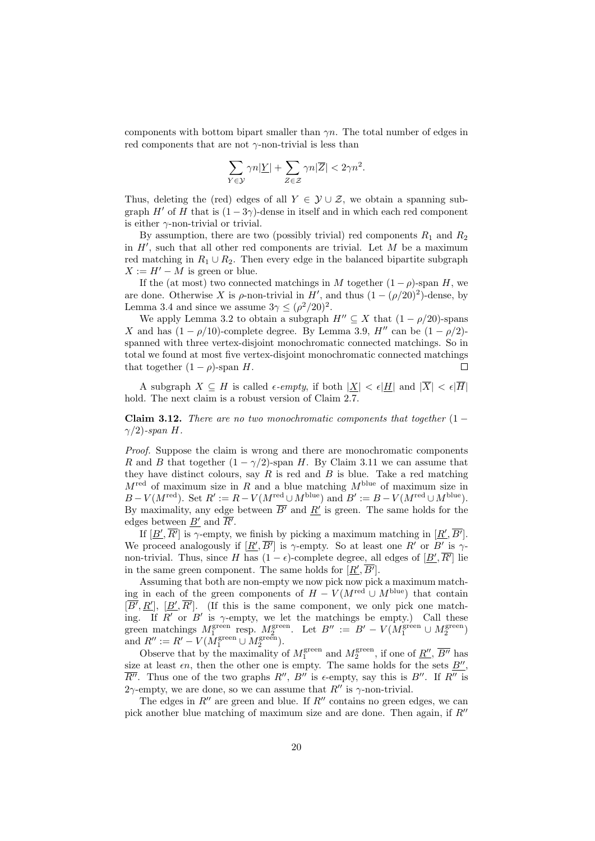components with bottom bipart smaller than  $\gamma n$ . The total number of edges in red components that are not  $\gamma$ -non-trivial is less than

$$
\sum_{Y \in \mathcal{Y}} \gamma n |\underline{Y}| + \sum_{Z \in \mathcal{Z}} \gamma n |\overline{Z}| < 2\gamma n^2.
$$

Thus, deleting the (red) edges of all  $Y \in \mathcal{Y} \cup \mathcal{Z}$ , we obtain a spanning subgraph H' of H that is  $(1 - 3\gamma)$ -dense in itself and in which each red component is either  $\gamma$ -non-trivial or trivial.

By assumption, there are two (possibly trivial) red components  $R_1$  and  $R_2$ in  $H'$ , such that all other red components are trivial. Let  $M$  be a maximum red matching in  $R_1 \cup R_2$ . Then every edge in the balanced bipartite subgraph  $X := H' - M$  is green or blue.

If the (at most) two connected matchings in M together  $(1 - \rho)$ -span H, we are done. Otherwise X is  $\rho$ -non-trivial in H', and thus  $(1 - (\rho/20)^2)$ -dense, by Lemma 3.4 and since we assume  $3\gamma \leq (\rho^2/20)^2$ .

We apply Lemma 3.2 to obtain a subgraph  $H'' \subseteq X$  that  $(1 - \rho/20)$ -spans X and has  $(1 - \rho/10)$ -complete degree. By Lemma 3.9, H'' can be  $(1 - \rho/2)$ spanned with three vertex-disjoint monochromatic connected matchings. So in total we found at most five vertex-disjoint monochromatic connected matchings that together  $(1 - \rho)$ -span H.  $\Box$ 

A subgraph  $X \subseteq H$  is called  $\epsilon$ -empty, if both  $|\underline{X}| < \epsilon |\underline{H}|$  and  $|\overline{X}| < \epsilon |\overline{H}|$ hold. The next claim is a robust version of Claim 2.7.

Claim 3.12. There are no two monochromatic components that together  $(1 \gamma/2$ )-span H.

Proof. Suppose the claim is wrong and there are monochromatic components R and B that together  $(1 - \gamma/2)$ -span H. By Claim 3.11 we can assume that they have distinct colours, say  $R$  is red and  $B$  is blue. Take a red matching  $M^{\text{red}}$  of maximum size in R and a blue matching  $M^{\text{blue}}$  of maximum size in  $B-V(M^{\text{red}})$ . Set  $R' := R-V(M^{\text{red}} \cup M^{\text{blue}})$  and  $B' := B-V(M^{\text{red}} \cup M^{\text{blue}})$ . By maximality, any edge between  $\overline{B'}$  and  $\underline{R'}$  is green. The same holds for the edges between  $\underline{B'}$  and  $\overline{R'}$ .

If  $[\underline{B}', \overline{R'}]$  is  $\gamma$ -empty, we finish by picking a maximum matching in  $[\underline{R}', \overline{B'}]$ . We proceed analogously if  $[\underline{R}', \overline{B'}]$  is  $\gamma$ -empty. So at least one  $R'$  or  $B'$  is  $\gamma$ non-trivial. Thus, since H has  $(1 - \epsilon)$ -complete degree, all edges of  $[\underline{B}', \overline{R'}]$  lie in the same green component. The same holds for  $[\underline{R}', \overline{B'}]$ .

Assuming that both are non-empty we now pick now pick a maximum matching in each of the green components of  $H - V(M^{\text{red}} \cup M^{\text{blue}})$  that contain  $[\overline{B'}, \underline{R'}], [\underline{B'}, \overline{R'}].$  (If this is the same component, we only pick one matching. If R' or B' is  $\gamma$ -empty, we let the matchings be empty.) Call these green matchings  $M_1^{\text{green}}$  resp.  $M_2^{\text{green}}$ . Let  $B'' := B' - V(M_1^{\text{green}} \cup M_2^{\text{green}})$ and  $R'' := R' - V(M_1^{\text{green}} \cup M_2^{\text{green}})$ .

Observe that by the maximality of  $M_1^{\text{green}}$  and  $M_2^{\text{green}}$ , if one of  $\underline{R''}$ ,  $\overline{B''}$  has size at least  $\epsilon n$ , then the other one is empty. The same holds for the sets  $\underline{B''}$ ,  $\overline{R}''$ . Thus one of the two graphs  $R''$ ,  $B''$  is  $\epsilon$ -empty, say this is  $B''$ . If  $R''$  is 2 $\gamma$ -empty, we are done, so we can assume that  $R''$  is  $\gamma$ -non-trivial.

The edges in  $R''$  are green and blue. If  $R''$  contains no green edges, we can pick another blue matching of maximum size and are done. Then again, if  $R''$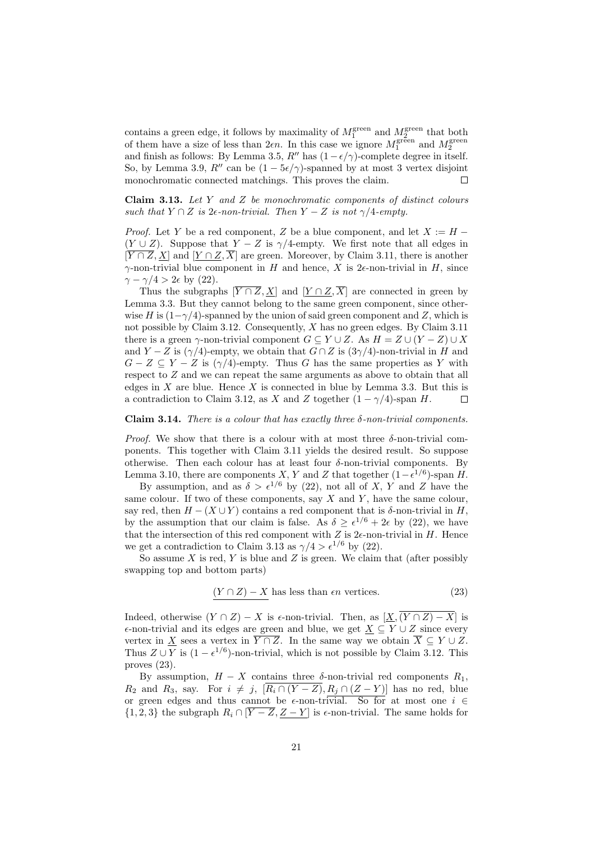contains a green edge, it follows by maximality of  $M_1^{\text{green}}$  and  $M_2^{\text{green}}$  that both of them have a size of less than  $2\epsilon n$ . In this case we ignore  $M_1^{\text{green}}$  and  $M_2^{\text{green}}$ and finish as follows: By Lemma 3.5, R'' has  $(1-\epsilon/\gamma)$ -complete degree in itself. So, by Lemma 3.9, R'' can be  $(1 - 5\epsilon/\gamma)$ -spanned by at most 3 vertex disjoint monochromatic connected matchings. This proves the claim.  $\Box$ 

**Claim 3.13.** Let  $Y$  and  $Z$  be monochromatic components of distinct colours such that  $Y \cap Z$  is  $2\epsilon$ -non-trivial. Then  $Y - Z$  is not  $\gamma/4$ -empty.

*Proof.* Let Y be a red component, Z be a blue component, and let  $X := H (Y \cup Z)$ . Suppose that  $Y - Z$  is  $\gamma/4$ -empty. We first note that all edges in  $[\overline{Y \cap Z}, \underline{X}]$  and  $[\underline{Y \cap Z}, \overline{X}]$  are green. Moreover, by Claim 3.11, there is another  $\gamma$ -non-trivial blue component in H and hence, X is 2 $\epsilon$ -non-trivial in H, since  $\gamma - \gamma/4 > 2\epsilon$  by (22).

Thus the subgraphs  $[\overline{Y \cap Z}, X]$  and  $[Y \cap Z, \overline{X}]$  are connected in green by Lemma 3.3. But they cannot belong to the same green component, since otherwise H is  $(1-\gamma/4)$ -spanned by the union of said green component and Z, which is not possible by Claim 3.12. Consequently, X has no green edges. By Claim 3.11 there is a green  $\gamma$ -non-trivial component  $G \subseteq Y \cup Z$ . As  $H = Z \cup (Y - Z) \cup X$ and  $Y - Z$  is  $(\gamma/4)$ -empty, we obtain that  $G \cap Z$  is  $(3\gamma/4)$ -non-trivial in H and  $G - Z \subseteq Y - Z$  is  $(\gamma/4)$ -empty. Thus G has the same properties as Y with respect to Z and we can repeat the same arguments as above to obtain that all edges in  $X$  are blue. Hence  $X$  is connected in blue by Lemma 3.3. But this is a contradiction to Claim 3.12, as X and Z together  $(1 - \gamma/4)$ -span H.  $\Box$ 

#### Claim 3.14. There is a colour that has exactly three  $\delta$ -non-trivial components.

*Proof.* We show that there is a colour with at most three  $\delta$ -non-trivial components. This together with Claim 3.11 yields the desired result. So suppose otherwise. Then each colour has at least four  $\delta$ -non-trivial components. By Lemma 3.10, there are components X, Y and Z that together  $(1 - \epsilon^{1/6})$ -span H.

By assumption, and as  $\delta > \epsilon^{1/6}$  by (22), not all of X, Y and Z have the same colour. If two of these components, say  $X$  and  $Y$ , have the same colour, say red, then  $H - (X \cup Y)$  contains a red component that is  $\delta$ -non-trivial in H, by the assumption that our claim is false. As  $\delta \geq \epsilon^{1/6} + 2\epsilon$  by (22), we have that the intersection of this red component with  $Z$  is  $2\epsilon$ -non-trivial in  $H$ . Hence we get a contradiction to Claim 3.13 as  $\gamma/4 > \epsilon^{1/6}$  by (22).

So assume  $X$  is red,  $Y$  is blue and  $Z$  is green. We claim that (after possibly swapping top and bottom parts)

$$
(Y \cap Z) - X \text{ has less than } \epsilon n \text{ vertices.}
$$
\n
$$
(23)
$$

Indeed, otherwise  $(Y \cap Z) - X$  is  $\epsilon$ -non-trivial. Then, as  $[\underline{X}, \overline{(Y \cap Z) - X}]$  is  $\epsilon$ -non-trivial and its edges are green and blue, we get  $X \subseteq Y \cup Z$  since every vertex in X sees a vertex in  $\overline{Y \cap Z}$ . In the same way we obtain  $\overline{X} \subseteq Y \cup Z$ . Thus  $Z \cup Y$  is  $(1 - \epsilon^{1/6})$ -non-trivial, which is not possible by Claim 3.12. This proves (23).

By assumption,  $H - X$  contains three  $\delta$ -non-trivial red components  $R_1$ ,  $R_2$  and  $R_3$ , say. For  $i \neq j$ ,  $\overline{[R_i \cap (Y - Z), R_j \cap (Z - Y)]}$  has no red, blue or green edges and thus cannot be  $\epsilon$ -non-trivial. So for at most one  $i \in$  $\{1, 2, 3\}$  the subgraph  $R_i \cap [\overline{Y} - \overline{Z}, \underline{Z} - \underline{Y}]$  is  $\epsilon$ -non-trivial. The same holds for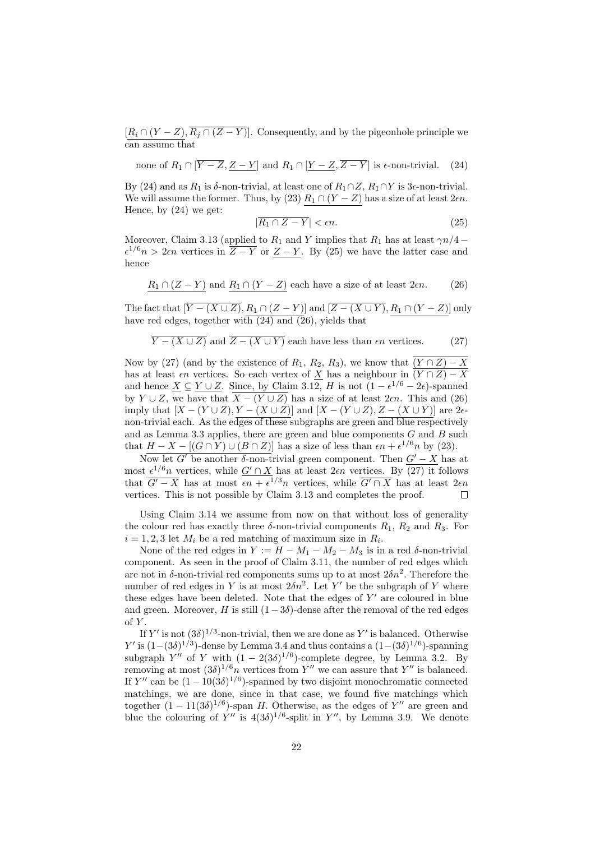$[R_i \cap (Y - Z), R_j \cap (Z - Y)].$  Consequently, and by the pigeonhole principle we can assume that

none of  $R_1 \cap [\overline{Y} - \overline{Z}, Z - Y]$  and  $R_1 \cap [Y - \overline{Z}, \overline{Z - Y}]$  is  $\epsilon$ -non-trivial. (24)

By (24) and as  $R_1$  is δ-non-trivial, at least one of  $R_1 \cap Z$ ,  $R_1 \cap Y$  is 3 $\epsilon$ -non-trivial. We will assume the former. Thus, by (23)  $R_1 \cap (Y - Z)$  has a size of at least  $2\epsilon n$ . Hence, by (24) we get:

$$
|\overline{R_1 \cap Z - Y}| < \epsilon n. \tag{25}
$$

Moreover, Claim 3.13 (applied to  $R_1$  and Y implies that  $R_1$  has at least  $\gamma n/4 \epsilon^{1/6}n > 2\epsilon n$  vertices in  $\overline{Z-Y}$  or  $Z-Y$ . By (25) we have the latter case and hence

$$
\underline{R_1 \cap (Z - Y)} \text{ and } \underline{R_1 \cap (Y - Z)} \text{ each have a size of at least } 2\epsilon n. \tag{26}
$$

The fact that  $[\overline{Y-(X\cup Z)}, R_1\cap (Z-Y)]$  and  $[\overline{Z-(X\cup Y)}, R_1\cap (Y-Z)]$  only have red edges, together with  $(24)$  and  $(26)$ , yields that

$$
\overline{Y - (X \cup Z)}
$$
 and  $\overline{Z - (X \cup Y)}$  each have less than  $\epsilon n$  vertices. (27)

Now by (27) (and by the existence of  $R_1, R_2, R_3$ ), we know that  $(Y \cap Z) - X$ has at least  $\epsilon n$  vertices. So each vertex of  $\underline{X}$  has a neighbour in  $(Y \cap Z) - X$ and hence  $\underline{X} \subseteq \underline{Y \cup Z}$ . Since, by Claim 3.12, H is not  $(1 - \epsilon^{1/6} - 2\epsilon)$ -spanned by  $Y \cup Z$ , we have that  $\overline{X - (Y \cup Z)}$  has a size of at least 2 $\epsilon n$ . This and (26) imply that  $[X - (Y \cup Z), Y - (X \cup Z)]$  and  $[X - (Y \cup Z), Z - (X \cup Y)]$  are 2 $\epsilon$ non-trivial each. As the edges of these subgraphs are green and blue respectively and as Lemma 3.3 applies, there are green and blue components  $G$  and  $B$  such that  $H - X - [(G \cap Y) \cup (B \cap Z)]$  has a size of less than  $\epsilon n + \epsilon^{1/6} n$  by (23).

Now let G' be another  $\delta$ -non-trivial green component. Then  $G' - X$  has at most  $\epsilon^{1/6}n$  vertices, while  $G' \cap X$  has at least 2 $\epsilon n$  vertices. By (27) it follows that  $\overline{G'-X}$  has at most  $\epsilon n + \epsilon^{1/3}n$  vertices, while  $\overline{G'\cap X}$  has at least  $2\epsilon n$ vertices. This is not possible by Claim 3.13 and completes the proof.  $\Box$ 

Using Claim 3.14 we assume from now on that without loss of generality the colour red has exactly three  $\delta$ -non-trivial components  $R_1, R_2$  and  $R_3$ . For  $i = 1, 2, 3$  let  $M_i$  be a red matching of maximum size in  $R_i$ .

None of the red edges in  $Y := H - M_1 - M_2 - M_3$  is in a red  $\delta$ -non-trivial component. As seen in the proof of Claim 3.11, the number of red edges which are not in  $\delta$ -non-trivial red components sums up to at most  $2\delta n^2$ . Therefore the number of red edges in Y is at most  $2\delta n^2$ . Let Y' be the subgraph of Y where these edges have been deleted. Note that the edges of  $Y'$  are coloured in blue and green. Moreover, H is still  $(1-3\delta)$ -dense after the removal of the red edges of  $Y$ .

If Y' is not  $(3\delta)^{1/3}$ -non-trivial, then we are done as Y' is balanced. Otherwise Y' is  $(1-(3\delta)^{1/3})$ -dense by Lemma 3.4 and thus contains a  $(1-(3\delta)^{1/6})$ -spanning subgraph  $Y''$  of Y with  $(1 - 2(3\delta)^{1/6})$ -complete degree, by Lemma 3.2. By removing at most  $(3\delta)^{1/6}n$  vertices from Y'' we can assure that Y'' is balanced. If Y'' can be  $(1 - 10(3\delta)^{1/6})$ -spanned by two disjoint monochromatic connected matchings, we are done, since in that case, we found five matchings which together  $(1 - 11(3\delta)^{1/6})$ -span H. Otherwise, as the edges of Y'' are green and blue the colouring of Y'' is  $4(3\delta)^{1/6}$ -split in Y'', by Lemma 3.9. We denote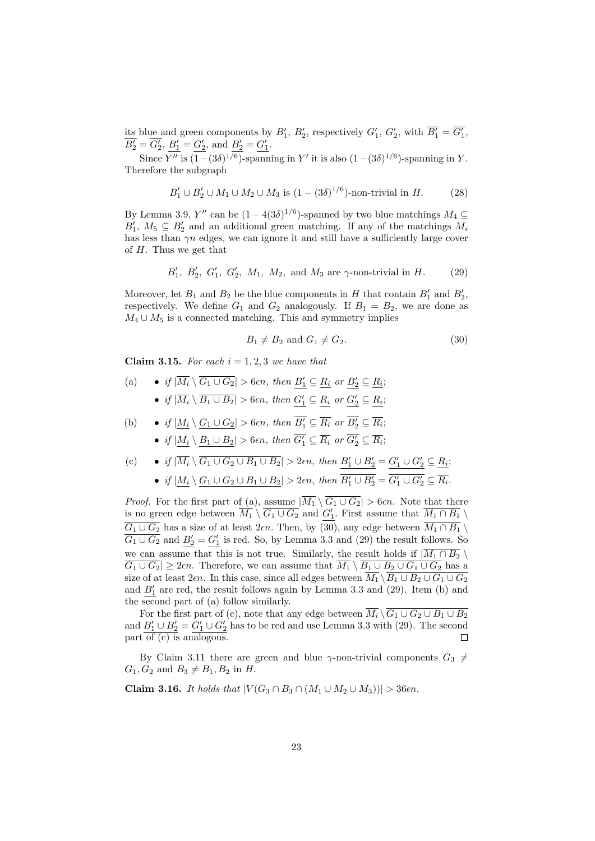its blue and green components by  $B'_1$ ,  $B'_2$ , respectively  $G'_1$ ,  $G'_2$ , with  $\overline{B'_1} = \overline{G'_1}$ ,  $\overline{B'_2} = \overline{G'_2}, \, \underline{B'_1} = \underline{G'_2}, \, \text{and } \underline{B'_2} = \underline{G'_1}.$ 

Since Y'' is  $(1 - (3\delta)^{1/6})$ -spanning in Y' it is also  $(1 - (3\delta)^{1/6})$ -spanning in Y. Therefore the subgraph

$$
B'_1 \cup B'_2 \cup M_1 \cup M_2 \cup M_3
$$
 is  $(1 - (3\delta)^{1/6})$ -non-trivial in H. (28)

By Lemma 3.9,  $Y''$  can be  $(1-4(3\delta)^{1/6})$ -spanned by two blue matchings  $M_4 \subseteq$  $B'_1, M_5 \subseteq B'_2$  and an additional green matching. If any of the matchings  $M_i$ has less than  $\gamma n$  edges, we can ignore it and still have a sufficiently large cover of  $H$ . Thus we get that

$$
B'_1, B'_2, G'_1, G'_2, M_1, M_2,
$$
 and  $M_3$  are  $\gamma$ -non-trivial in  $H$ . (29)

Moreover, let  $B_1$  and  $B_2$  be the blue components in H that contain  $B'_1$  and  $B'_2$ , respectively. We define  $G_1$  and  $G_2$  analogously. If  $B_1 = B_2$ , we are done as  $M_4 \cup M_5$  is a connected matching. This and symmetry implies

$$
B_1 \neq B_2 \text{ and } G_1 \neq G_2. \tag{30}
$$

Claim 3.15. For each  $i = 1, 2, 3$  we have that

(a) 
$$
\bullet
$$
 if  $|\overline{M_i} \setminus \overline{G_1 \cup G_2}| > 6\epsilon n$ , then  $B'_1 \subseteq R_i$  or  $B'_2 \subseteq R_i$ ;  
 $\bullet$  if  $|\overline{M_i} \setminus \overline{B_1 \cup B_2}| > 6\epsilon n$ , then  $\underline{G'_1} \subseteq \underline{R_i}$  or  $\underline{G'_2} \subseteq \underline{R_i}$ ;

(b) 
$$
\bullet
$$
 if  $|\underline{M_i} \setminus \underline{G_1 \cup G_2}| > 6\epsilon n$ , then  $\overline{B'_1} \subseteq \overline{R_i}$  or  $\overline{B'_2} \subseteq \overline{R_i}$ ;  
 $\bullet$  if  $|\underline{M_i} \setminus \underline{B_1 \cup B_2}| > 6\epsilon n$ , then  $\overline{G'_1} \subseteq \overline{R_i}$  or  $\overline{G'_2} \subseteq \overline{R_i}$ ;

(c) 
$$
\bullet
$$
 if  $|\overline{M_i} \setminus \overline{G_1 \cup G_2 \cup B_1 \cup B_2}| > 2\epsilon n$ , then  $B'_1 \cup B'_2 = G'_1 \cup G'_2 \subseteq \underline{R_i}$ ;

• if  $|\underline{M_i} \setminus \underline{G_1 \cup G_2 \cup B_1 \cup B_2}| > 2\epsilon n$ , then  $\overline{B'_1 \cup B'_2} = \overline{G'_1 \cup G'_2} \subseteq \overline{R_i}$ .

*Proof.* For the first part of (a), assume  $|\overline{M_1} \setminus \overline{G_1 \cup G_2}| > 6\epsilon n$ . Note that there is no green edge between  $\overline{M_1} \setminus \overline{G_1 \cup G_2}$  and  $G'_1$ . First assume that  $\overline{M_1 \cap B_1} \setminus$  $\overline{G_1 \cup G_2}$  has a size of at least 2 $\epsilon n$ . Then, by (30), any edge between  $\overline{M_1 \cap B_1} \setminus$  $\overline{G_1 \cup G_2}$  and  $\underline{B'_2} = \underline{G'_1}$  is red. So, by Lemma 3.3 and (29) the result follows. So we can assume that this is not true. Similarly, the result holds if  $|\overline{M_1 \cap B_2} \setminus$  $\overline{G_1 \cup G_2} \geq 2\epsilon n$ . Therefore, we can assume that  $\overline{M_1} \setminus \overline{B_1 \cup B_2 \cup G_1 \cup G_2}$  has a size of at least 2 $\epsilon n$ . In this case, since all edges between  $\overline{M_1} \setminus \overline{B_1 \cup B_2 \cup G_1 \cup G_2}$ and  $\underline{B'_1}$  are red, the result follows again by Lemma 3.3 and (29). Item (b) and the second part of (a) follow similarly.

For the first part of (c), note that any edge between  $M_i \setminus G_1 \cup G_2 \cup B_1 \cup B_2$ and  $B'_1 \cup B'_2 = G'_1 \cup G'_2$  has to be red and use Lemma 3.3 with (29). The second  $part \overline{of (c)}$  is analogous.  $\Box$ 

By Claim 3.11 there are green and blue  $\gamma$ -non-trivial components  $G_3 \neq$  $G_1, G_2$  and  $B_3 \neq B_1, B_2$  in H.

**Claim 3.16.** It holds that 
$$
|V(G_3 \cap B_3 \cap (M_1 \cup M_2 \cup M_3))| > 36\epsilon n
$$
.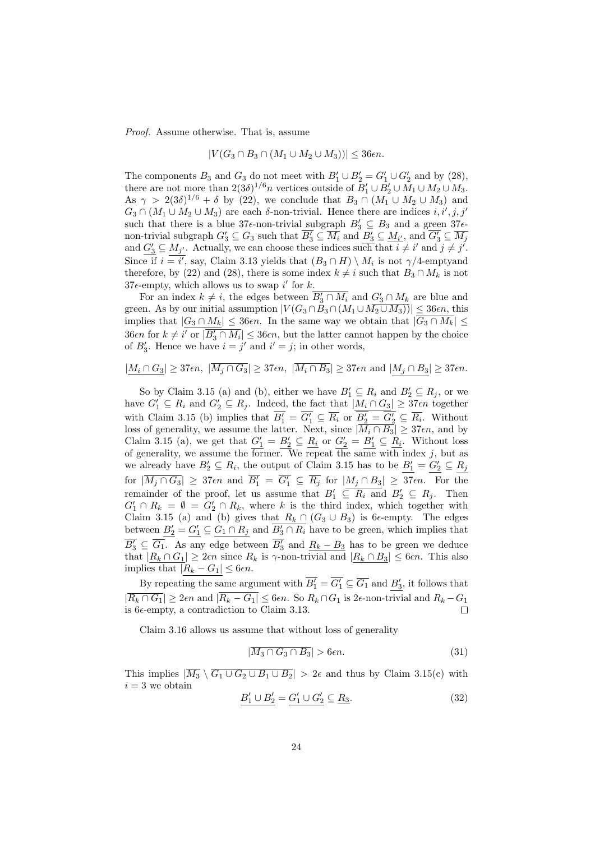Proof. Assume otherwise. That is, assume

$$
|V(G_3 \cap B_3 \cap (M_1 \cup M_2 \cup M_3))| \leq 36\epsilon n.
$$

The components  $B_3$  and  $G_3$  do not meet with  $B'_1 \cup B'_2 = G'_1 \cup G'_2$  and by (28), there are not more than  $2(3\delta)^{1/6}n$  vertices outside of  $B'_1 \cup B'_2 \cup M_1 \cup M_2 \cup M_3$ . As  $\gamma > 2(3\delta)^{1/6} + \delta$  by (22), we conclude that  $B_3 \cap (M_1 \cup M_2 \cup M_3)$  and  $G_3 \cap (M_1 \cup M_2 \cup M_3)$  are each  $\delta$ -non-trivial. Hence there are indices  $i, i', j, j'$ such that there is a blue 37 $\epsilon$ -non-trivial subgraph  $B'_3 \subseteq B_3$  and a green 37 $\epsilon$ non-trivial subgraph  $G'_3 \subseteq G_3$  such that  $\overline{B'_3} \subseteq \overline{M_i}$  and  $\underline{B'_3} \subseteq \underline{M_{i'}}$ , and  $\overline{G'_3} \subseteq \overline{M_j}$ and  $G'_3 \subseteq M_{j'}$ . Actually, we can choose these indices such that  $i \neq i'$  and  $j \neq j'$ . Since if  $i = i'$ , say, Claim 3.13 yields that  $(B_3 \cap H) \setminus M_i$  is not  $\gamma/4$ -emptyand therefore, by (22) and (28), there is some index  $k \neq i$  such that  $B_3 \cap M_k$  is not  $37\epsilon$ -empty, which allows us to swap i' for k.

For an index  $k \neq i$ , the edges between  $\overline{B'_3 \cap M_i}$  and  $G'_3 \cap M_k$  are blue and green. As by our initial assumption  $|V(G_3 \cap B_3 \cap (M_1 \cup M_2 \cup M_3))| \leq 36\epsilon n$ , this implies that  $|G_3 \cap M_k| \leq 36\epsilon n$ . In the same way we obtain that  $|\overline{G_3 \cap M_k}| \leq$ 36*en* for  $k \neq i'$  or  $|\overline{B'_3 \cap M_i}| \leq 36e$ , but the latter cannot happen by the choice of  $B'_3$ . Hence we have  $i = j'$  and  $i' = j$ ; in other words,

$$
|\underline{M_i\cap G_3}|\geq 37\epsilon n,\ |\overline{M_j\cap G_3}|\geq 37\epsilon n,\ |\overline{M_i\cap B_3}|\geq 37\epsilon n\text{ and }|\underline{M_j\cap B_3}|\geq 37\epsilon n.
$$

So by Claim 3.15 (a) and (b), either we have  $B'_1 \subseteq R_i$  and  $B'_2 \subseteq R_j$ , or we have  $G'_1 \subseteq R_i$  and  $G'_2 \subseteq R_j$ . Indeed, the fact that  $|M_i \cap G_3| \geq 37\epsilon n$  together with Claim 3.15 (b) implies that  $\overline{B'_1} = \overline{G'_1} \subseteq \overline{R_i}$  or  $\overline{B'_2} = \overline{G'_2} \subseteq \overline{R_i}$ . Without loss of generality, we assume the latter. Next, since  $|M_i \cap B_3| \geq 37\epsilon n$ , and by Claim 3.15 (a), we get that  $G_1' = B_2' \subseteq R_i$  or  $G_2' = B_1' \subseteq R_i$ . Without loss of generality, we assume the former. We repeat the same with index  $j$ , but as we already have  $B'_2 \subseteq R_i$ , the output of Claim 3.15 has to be  $B'_1 = G'_2 \subseteq R_j$ for  $|\overline{M_j \cap G_3}|$   $\geq 37\epsilon n$  and  $\overline{B'_1} = \overline{G'_1} \subseteq \overline{R_j}$  for  $|M_j \cap B_3| \geq 37\epsilon n$ . For the remainder of the proof, let us assume that  $B'_1 \subseteq R_i$  and  $B'_2 \subseteq R_j$ . Then  $G'_1 \cap R_k = \emptyset = G'_2 \cap R_k$ , where k is the third index, which together with Claim 3.15 (a) and (b) gives that  $R_k \cap (G_3 \cup B_3)$  is 6 $\epsilon$ -empty. The edges between  $B'_2 = G'_1 \subseteq G_1 \cap R_j$  and  $\overline{B'_3 \cap R_i}$  have to be green, which implies that  $\overline{B'_3} \subseteq \overline{G_1}$ . As any edge between  $\overline{B'_3}$  and  $\underline{R_k - B_3}$  has to be green we deduce that  $|R_k \cap G_1| \geq 2\epsilon n$  since  $R_k$  is  $\gamma$ -non-trivial and  $|R_k \cap B_3| \leq 6\epsilon n$ . This also implies that  $|R_k - G_1| \leq 6\epsilon n$ .

By repeating the same argument with  $\overline{B'_1} = \overline{G'_1} \subseteq \overline{G_1}$  and  $\underline{B'_3}$ , it follows that  $|\overline{R_k \cap G_1}| \geq 2\epsilon n$  and  $|\overline{R_k - G_1}| \leq 6\epsilon n$ . So  $R_k \cap G_1$  is 2 $\epsilon$ -non-trivial and  $R_k - G_1$ is  $6\epsilon$ -empty, a contradiction to Claim 3.13.

Claim 3.16 allows us assume that without loss of generality

$$
|\overline{M_3 \cap G_3 \cap B_3}| > 6\epsilon n. \tag{31}
$$

This implies  $|\overline{M_3} \setminus \overline{G_1 \cup G_2 \cup B_1 \cup B_2}| > 2\epsilon$  and thus by Claim 3.15(c) with  $i = 3$  we obtain

$$
B'_1 \cup B'_2 = G'_1 \cup G'_2 \subseteq R_3. \tag{32}
$$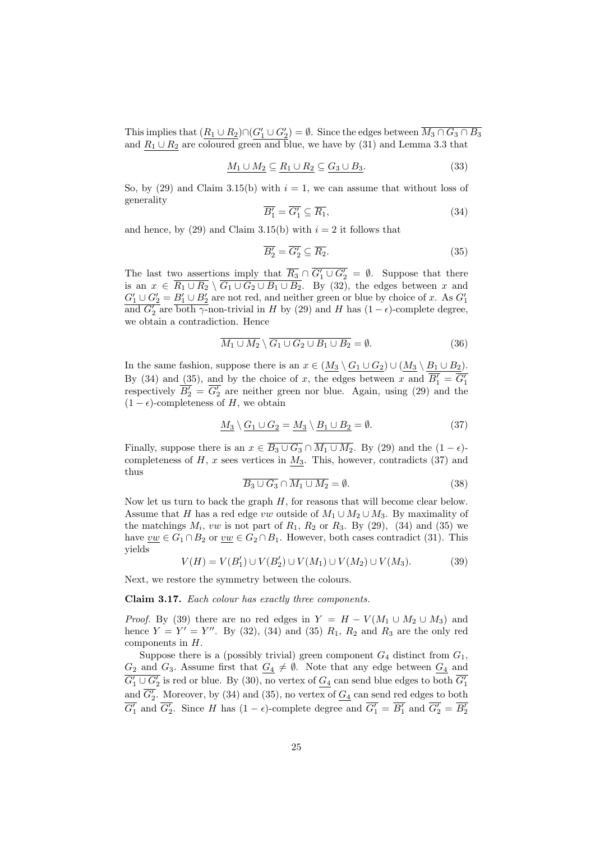This implies that  $(\underline{R_1 \cup R_2}) \cap (\underline{G'_1 \cup G'_2}) = \emptyset$ . Since the edges between  $\overline{M_3 \cap G_3 \cap B_3}$ and  $R_1 \cup R_2$  are coloured green and blue, we have by (31) and Lemma 3.3 that

$$
\underline{M_1 \cup M_2} \subseteq \underline{R_1 \cup R_2} \subseteq \underline{G_3 \cup B_3}.\tag{33}
$$

So, by (29) and Claim 3.15(b) with  $i = 1$ , we can assume that without loss of generality

$$
\overline{B'_1} = \overline{G'_1} \subseteq \overline{R_1},\tag{34}
$$

and hence, by (29) and Claim 3.15(b) with  $i = 2$  it follows that

$$
\overline{B'_2} = \overline{G'_2} \subseteq \overline{R_2}.\tag{35}
$$

The last two assertions imply that  $\overline{R_3} \cap \overline{G'_1 \cup G'_2} = \emptyset$ . Suppose that there is an  $x \in R_1 \cup R_2 \setminus G_1 \cup G_2 \cup B_1 \cup B_2$ . By (32), the edges between x and  $G_1' \cup G_2' = B_1' \cup B_2'$  are not red, and neither green or blue by choice of x. As  $G_1'$ and  $\overline{G'_2}$  are both  $\gamma$ -non-trivial in H by (29) and H has  $(1 - \epsilon)$ -complete degree, we obtain a contradiction. Hence

$$
\overline{M_1 \cup M_2} \setminus \overline{G_1 \cup G_2 \cup B_1 \cup B_2} = \emptyset.
$$
\n(36)

In the same fashion, suppose there is an  $x \in (M_3 \setminus G_1 \cup G_2) \cup (M_3 \setminus B_1 \cup B_2)$ . By (34) and  $\underline{(35)}$ , and by the choice of x, the edges between x and  $\overline{B_1'} = \overline{G_1'}$ respectively  $\overline{B_2'} = \overline{G_2'}$  are neither green nor blue. Again, using (29) and the  $(1 - \epsilon)$ -completeness of H, we obtain

$$
\underline{M_3} \setminus \underline{G_1 \cup G_2} = \underline{M_3} \setminus \underline{B_1 \cup B_2} = \emptyset. \tag{37}
$$

Finally, suppose there is an  $x \in \overline{B_3 \cup G_3} \cap \overline{M_1 \cup M_2}$ . By (29) and the  $(1 - \epsilon)$ completeness of  $H$ ,  $x$  sees vertices in  $M_3$ . This, however, contradicts (37) and thus

$$
\overline{B_3 \cup G_3} \cap \overline{M_1 \cup M_2} = \emptyset. \tag{38}
$$

Now let us turn to back the graph  $H$ , for reasons that will become clear below. Assume that H has a red edge vw outside of  $M_1 \cup M_2 \cup M_3$ . By maximality of the matchings  $M_i$ , vw is not part of  $R_1$ ,  $R_2$  or  $R_3$ . By (29), (34) and (35) we have  $\underline{vw} \in G_1 \cap B_2$  or  $\underline{vw} \in G_2 \cap B_1$ . However, both cases contradict (31). This yields

$$
V(H) = V(B'_1) \cup V(B'_2) \cup V(M_1) \cup V(M_2) \cup V(M_3). \tag{39}
$$

Next, we restore the symmetry between the colours.

Claim 3.17. Each colour has exactly three components.

*Proof.* By (39) there are no red edges in  $Y = H - V(M_1 \cup M_2 \cup M_3)$  and hence  $Y = Y' = Y''$ . By (32), (34) and (35)  $R_1$ ,  $R_2$  and  $R_3$  are the only red components in H.

Suppose there is a (possibly trivial) green component  $G_4$  distinct from  $G_1$ ,  $G_2$  and  $G_3$ . Assume first that  $G_4 \neq \emptyset$ . Note that any edge between  $G_4$  and  $\overline{G'_1 \cup G'_2}$  is red or blue. By (30), no vertex of  $\underline{G_4}$  can send blue edges to both  $\overline{G'_1}$ and  $\overline{G'_2}$ . Moreover, by (34) and (35), no vertex of  $\underline{G_4}$  can send red edges to both  $\overline{G'_1}$  and  $\overline{G'_2}$ . Since H has  $(1 - \epsilon)$ -complete degree and  $\overline{G'_1} = \overline{B'_1}$  and  $\overline{G'_2} = \overline{B'_2}$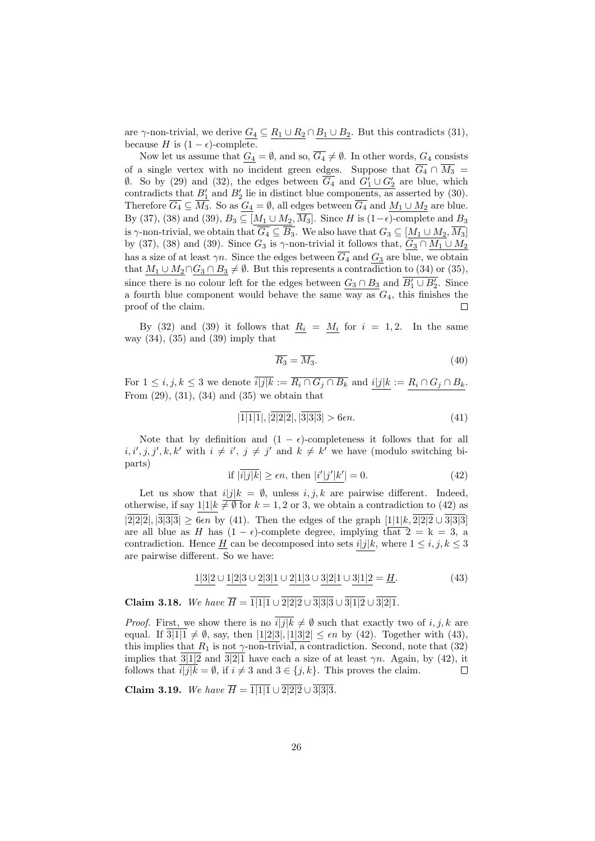are  $\gamma$ -non-trivial, we derive  $\underline{G_4} \subseteq \underline{R_1 \cup R_2} \cap \underline{B_1 \cup B_2}$ . But this contradicts (31), because H is  $(1 - \epsilon)$ -complete.

Now let us assume that  $\underline{G_4} = \emptyset$ , and so,  $\overline{G_4} \neq \emptyset$ . In other words,  $G_4$  consists of a single vertex with no incident green edges. Suppose that  $\overline{G_4} \cap \overline{M_3}$  $\emptyset$ . So by (29) and (32), the edges between  $\overline{G_4}$  and  $G'_1 \cup G'_2$  are blue, which contradicts that  $B'_1$  and  $B'_2$  lie in distinct blue components, as asserted by (30). Therefore  $\overline{G_4} \subseteq \overline{M_3}$ . So as  $G_4 = \emptyset$ , all edges between  $\overline{G_4}$  and  $M_1 \cup M_2$  are blue. By (37), (38) and (39),  $B_3 \subseteq [M_1 \cup M_2, \overline{M_3}]$ . Since H is (1- $\epsilon$ )-complete and  $B_3$ is  $\gamma$ -non-trivial, we obtain that  $\overline{G_4 \subseteq \overline{B_3}}$ . We also have that  $G_3 \subseteq [\underline{M_1 \cup M_2}, \overline{M_3}]$ by (37), (38) and (39). Since  $G_3$  is  $\gamma$ -non-trivial it follows that,  $G_3 \cap M_1 \cup M_2$ has a size of at least  $\gamma n$ . Since the edges between  $\overline{G_4}$  and  $\underline{G_3}$  are blue, we obtain that  $M_1 \cup M_2 \cap G_3 \cap B_3 \neq \emptyset$ . But this represents a contradiction to (34) or (35), since there is no colour left for the edges between  $G_3 \cap B_3$  and  $\overline{B'_1 \cup B'_2}$ . Since a fourth blue component would behave the same way as  $G_4$ , this finishes the proof of the claim. Г

By (32) and (39) it follows that  $R_i = M_i$  for  $i = 1, 2$ . In the same way  $(34)$ ,  $(35)$  and  $(39)$  imply that

$$
\overline{R_3} = \overline{M_3}.\tag{40}
$$

For  $1 \leq i, j, k \leq 3$  we denote  $\overline{i|j|k} := \overline{R_i \cap G_j \cap B_k}$  and  $\underline{i|j|k} := \underline{R_i \cap G_j \cap B_k}$ . From  $(29)$ ,  $(31)$ ,  $(34)$  and  $(35)$  we obtain that

$$
|\overline{1|1|1}|, |\overline{2|2|2}|, |\overline{3|3|3}| > 6\epsilon n. \tag{41}
$$

Note that by definition and  $(1 - \epsilon)$ -completeness it follows that for all  $i, i', j, j', k, k'$  with  $i \neq i', j \neq j'$  and  $k \neq k'$  we have (modulo switching biparts)

$$
\text{if } |\overline{i|j|k}| \ge \epsilon n \text{, then } |i'|j'|k'| = 0. \tag{42}
$$

Let us show that  $i|j|k = \emptyset$ , unless  $i, j, k$  are pairwise different. Indeed, otherwise, if say  $1|1|k \neq \emptyset$  for  $k = 1, 2$  or 3, we obtain a contradiction to (42) as  $|2|2|2|, |3|3|3| \geq 6\epsilon n$  by (41). Then the edges of the graph  $[1|1|k, \overline{2|2|2} \cup \overline{3|3|3}]$ are all blue as H has  $(1 - \epsilon)$ -complete degree, implying that  $2 = k = 3$ , a contradiction. Hence H can be decomposed into sets  $i|j|k$ , where  $1 \leq i, j, k \leq 3$ are pairwise different. So we have:

$$
1|3|2 \cup 1|2|3 \cup 2|3|1 \cup 2|1|3 \cup 3|2|1 \cup 3|1|2 = \underline{H}.
$$
\n(43)

Claim 3.18. We have  $\overline{H} = \overline{1|1|1} \cup \overline{2|2|2} \cup \overline{3|3|3} \cup \overline{3|1|2} \cup \overline{3|2|1}$ .

*Proof.* First, we show there is no  $\overline{i|j|k} \neq \emptyset$  such that exactly two of i, j, k are equal. If  $\overline{3|1|1} \neq \emptyset$ , say, then  $|1|2|3|, |1|3|2| \leq \epsilon n$  by (42). Together with (43), this implies that  $R_1$  is not  $\gamma$ -non-trivial, a contradiction. Second, note that (32) implies that  $3|1|2$  and  $3|2|1$  have each a size of at least  $\gamma n$ . Again, by (42), it follows that  $\overline{i|j|k} = \emptyset$ , if  $i \neq 3$  and  $3 \in \{j, k\}$ . This proves the claim.  $\Box$ 

Claim 3.19. We have  $\overline{H} = \overline{1|1|1} \cup \overline{2|2|2} \cup \overline{3|3|3}$ .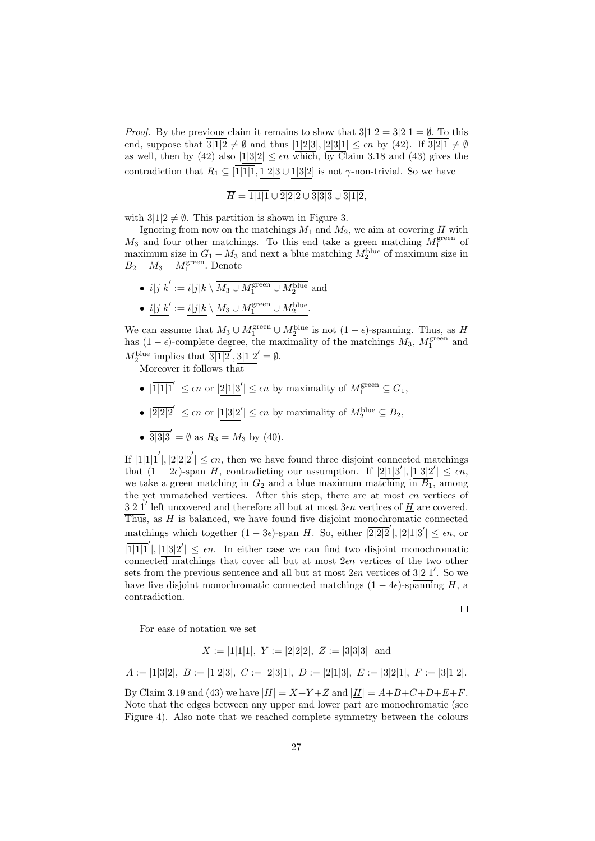*Proof.* By the previous claim it remains to show that  $\overline{3|1|2} = \overline{3|2|1} = \emptyset$ . To this end, suppose that  $\frac{1}{3|1|2} \neq \emptyset$  and thus  $|1|2|3|, |2|3|1| \leq \epsilon n$  by (42). If  $\frac{1}{3|2|1} \neq \emptyset$ as well, then by (42) also  $|1|3|2| \leq \epsilon n$  which, by Claim 3.18 and (43) gives the contradiction that  $R_1 \subseteq \sqrt{11|11}, 1|2|3 \cup 1|3|2$  is not  $\gamma$ -non-trivial. So we have

$$
\overline{H} = \overline{1|1|1} \cup \overline{2|2|2} \cup \overline{3|3|3} \cup \overline{3|1|2},
$$

with  $\frac{3|1|2}{2} \neq \emptyset$ . This partition is shown in Figure 3.

Ignoring from now on the matchings  $M_1$  and  $M_2$ , we aim at covering H with  $M_3$  and four other matchings. To this end take a green matching  $M_1^{\text{green}}$  of maximum size in  $G_1 - M_3$  and next a blue matching  $M_2^{\text{blue}}$  of maximum size in  $B_2 - M_3 - M_1^{\text{green}}$ . Denote

- $\overline{i|j|k}' := \overline{i|j|k} \setminus \overline{M_3 \cup M_1^{\rm green} \cup M_2^{\rm blue}}$  and
- $i|j|k' := i|j|k \setminus M_3 \cup M_1^{\rm green} \cup M_2^{\rm blue}.$

We can assume that  $M_3 \cup M_1^{\text{green}} \cup M_2^{\text{blue}}$  is not  $(1 - \epsilon)$ -spanning. Thus, as H has  $(1 - \epsilon)$ -complete degree, the maximality of the matchings  $M_3$ ,  $M_1^{\text{green}}$  and  $M_2^{\text{blue}}$  implies that  $\overline{3|1|2}'$ ,  $3|1|2'=\emptyset$ .

Moreover it follows that

- $|\overline{1|1|1}'| \leq \epsilon n$  or  $|2|1|3'| \leq \epsilon n$  by maximality of  $M_1^{\text{green}} \subseteq G_1$ ,
- $|\overline{2|2|2}'| \leq \epsilon n$  or  $|1|3|2'| \leq \epsilon n$  by maximality of  $M_2^{\text{blue}} \subseteq B_2$ ,
- $\overline{3|3|3}' = \emptyset$  as  $\overline{R_3} = \overline{M_3}$  by (40).

If  $|\overline{1}| \overline{1}| \overline{1}| \overline{1}| \overline{2}| \leq \epsilon n$ , then we have found three disjoint connected matchings that  $(1 - 2\epsilon)$ -span H, contradicting our assumption. If  $|2|1|3'|, |1|3|2'| \leq \epsilon n$ , we take a green matching in  $G_2$  and a blue maximum matching in  $\overline{B_1}$ , among the yet unmatched vertices. After this step, there are at most  $\epsilon n$  vertices of  $3|2|1'$  left uncovered and therefore all but at most  $3\epsilon n$  vertices of  $\underline{H}$  are covered. Thus, as  $H$  is balanced, we have found five disjoint monochromatic connected matchings which together  $(1-3\epsilon)$ -span H. So, either  $|2|2|2'|$ ,  $|2|1|3'| \leq \epsilon n$ , or  $|\overline{1|1|1}'|, |1|3|2'| \leq \epsilon n$ . In either case we can find two disjoint monochromatic connected matchings that cover all but at most  $2\epsilon n$  vertices of the two other sets from the previous sentence and all but at most  $2\epsilon n$  vertices of  $3|2|1'$ . So we have five disjoint monochromatic connected matchings  $(1 - 4\epsilon)$ -spanning H, a contradiction.

 $\Box$ 

For ease of notation we set

$$
X := |\overline{1|1|1}|, Y := |\overline{2|2|2}|, Z := |\overline{3|3|3}| \text{ and}
$$

$$
A := |\underline{1|3|2}|, B := |\underline{1|2|3}|, C := |\underline{2|3|1}|, D := |\underline{2|1|3}|, E := |\underline{3|2|1}|, F := |\underline{3|1|2}|.
$$

By Claim 3.19 and (43) we have  $|\overline{H}| = X+Y+Z$  and  $|\underline{H}| = A+B+C+D+E+F$ . Note that the edges between any upper and lower part are monochromatic (see Figure 4). Also note that we reached complete symmetry between the colours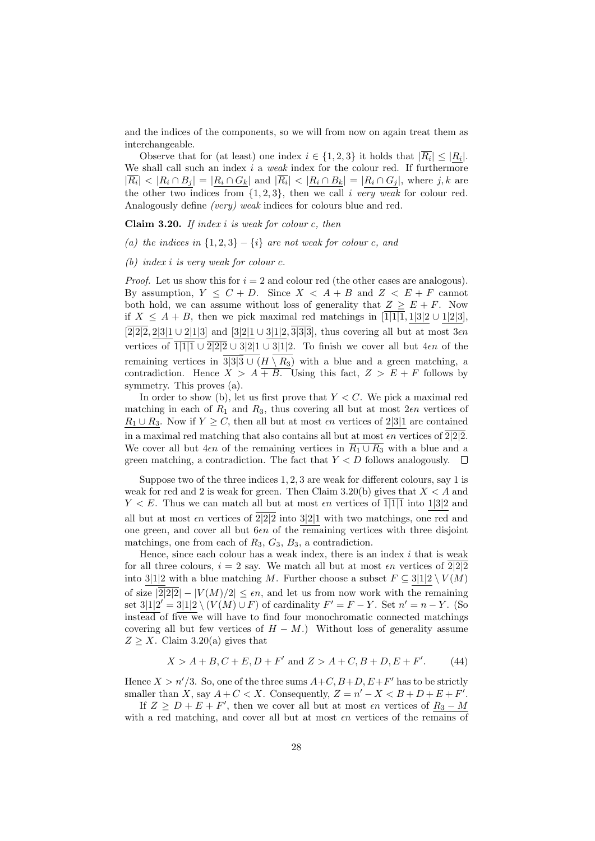and the indices of the components, so we will from now on again treat them as interchangeable.

Observe that for (at least) one index  $i \in \{1,2,3\}$  it holds that  $|R_i| \leq |R_i|$ . We shall call such an index i a weak index for the colour red. If furthermore  $|\overline{R_i}| < |R_i \cap B_j| = |R_i \cap G_k|$  and  $|\overline{R_i}| < |R_i \cap B_k| = |R_i \cap G_j|$ , where j, k are the other two indices from  $\{1, 2, 3\}$ , then we call i very weak for colour red. Analogously define (very) weak indices for colours blue and red.

Claim 3.20. If index  $i$  is weak for colour  $c$ , then

(a) the indices in  $\{1,2,3\} - \{i\}$  are not weak for colour c, and

(b) index i is very weak for colour  $c$ .

*Proof.* Let us show this for  $i = 2$  and colour red (the other cases are analogous). By assumption,  $Y \leq C + D$ . Since  $X \leq A + B$  and  $Z \leq E + F$  cannot both hold, we can assume without loss of generality that  $Z \geq E + F$ . Now if  $X \leq A + B$ , then we pick maximal red matchings in [1|1|1, 1|3|2 ∪ 1|2|3],  $[2|2|2, 2|3|1 \cup 2|1|3]$  and  $[3|2|1 \cup 3|1|2, \overline{3|3|3}]$ , thus covering all but at most  $3\epsilon n$ vertices of  $\overline{1|1|1} \cup \overline{2|2|2} \cup \overline{3|2|1} \cup \overline{3|1|2}$ . To finish we cover all but  $4\epsilon n$  of the remaining vertices in  $\overline{3|3|3} \cup (H \setminus R_3)$  with a blue and a green matching, a contradiction. Hence  $X > A + B$ . Using this fact,  $Z > E + F$  follows by symmetry. This proves (a).

In order to show (b), let us first prove that  $Y \leq C$ . We pick a maximal red matching in each of  $R_1$  and  $R_3$ , thus covering all but at most  $2\epsilon n$  vertices of  $R_1 \cup R_3$ . Now if  $Y \geq C$ , then all but at most  $\epsilon n$  vertices of 2|3|1 are contained in a maximal red matching that also contains all but at most  $\epsilon n$  vertices of  $2|2|2$ . We cover all but  $4\epsilon n$  of the remaining vertices in  $\overline{R_1 \cup R_3}$  with a blue and a green matching, a contradiction. The fact that  $Y < D$  follows analogously.  $\Box$ 

Suppose two of the three indices 1, 2, 3 are weak for different colours, say 1 is weak for red and 2 is weak for green. Then Claim 3.20(b) gives that  $X < A$  and  $Y < E$ . Thus we can match all but at most  $\epsilon n$  vertices of 1|1|1 into 1|3|2 and all but at most  $\epsilon n$  vertices of  $\overline{2|2|2}$  into  $3|2|1$  with two matchings, one red and one green, and cover all but  $6\epsilon n$  of the remaining vertices with three disjoint matchings, one from each of  $R_3, G_3, B_3$ , a contradiction.

Hence, since each colour has a weak index, there is an index  $i$  that is weak for all three colours,  $i = 2$  say. We match all but at most  $\epsilon n$  vertices of  $\sqrt{2|2|2}$ into 3|1|2 with a blue matching M. Further choose a subset  $F \subseteq 3|1|2 \setminus V(M)$ of size  $|2|2|2| - |V(M)/2| \leq \epsilon n$ , and let us from now work with the remaining set  $3|1|2' = 3|1|2 \setminus (V(M) \cup F)$  of cardinality  $F' = F - Y$ . Set  $n' = n - Y$ . (So instead of five we will have to find four monochromatic connected matchings covering all but few vertices of  $H - M$ .) Without loss of generality assume  $Z \geq X$ . Claim 3.20(a) gives that

$$
X > A + B, C + E, D + F'
$$
 and  $Z > A + C, B + D, E + F'$ . (44)

Hence  $X > n'/3$ . So, one of the three sums  $A+C, B+D, E+F'$  has to be strictly smaller than X, say  $A + C < X$ . Consequently,  $Z = n' - X < B + D + E + F'$ .

If  $Z \geq D + E + F'$ , then we cover all but at most  $\epsilon n$  vertices of  $R_3 - M$ with a red matching, and cover all but at most  $\epsilon n$  vertices of the remains of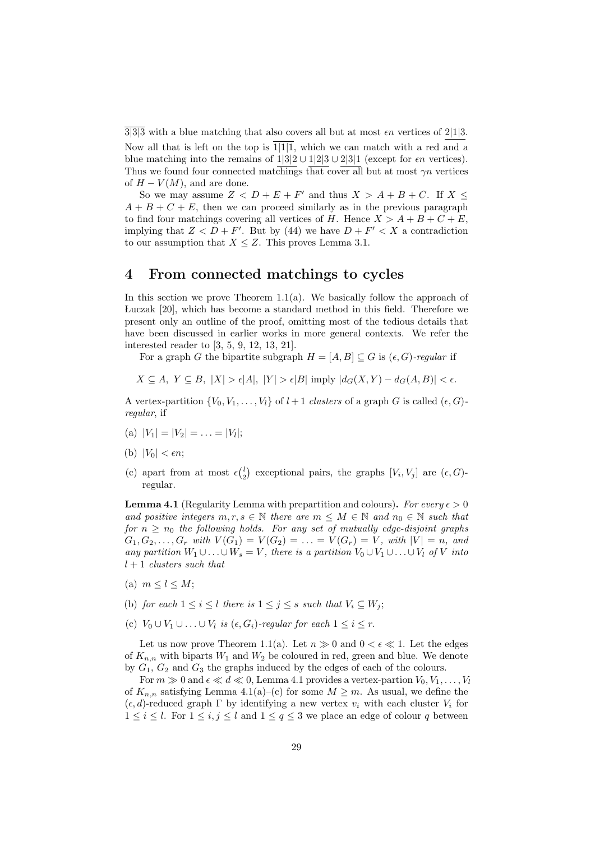$3|3|3$  with a blue matching that also covers all but at most  $\epsilon n$  vertices of  $2|1|3$ . Now all that is left on the top is  $\overline{1|1|1}$ , which we can match with a red and a blue matching into the remains of  $1|3|2 \cup 1|2|3 \cup 2|3|1$  (except for  $\epsilon n$  vertices). Thus we found four connected matchings that cover all but at most  $\gamma n$  vertices of  $H - V(M)$ , and are done.

So we may assume  $Z < D + E + F'$  and thus  $X > A + B + C$ . If  $X \leq$  $A + B + C + E$ , then we can proceed similarly as in the previous paragraph to find four matchings covering all vertices of H. Hence  $X > A + B + C + E$ , implying that  $Z < D + F'$ . But by (44) we have  $D + F' < X$  a contradiction to our assumption that  $X \leq Z$ . This proves Lemma 3.1.

### 4 From connected matchings to cycles

In this section we prove Theorem  $1.1(a)$ . We basically follow the approach of Luczak [20], which has become a standard method in this field. Therefore we present only an outline of the proof, omitting most of the tedious details that have been discussed in earlier works in more general contexts. We refer the interested reader to [3, 5, 9, 12, 13, 21].

For a graph G the bipartite subgraph  $H = [A, B] \subseteq G$  is  $(\epsilon, G)$ -regular if

 $X \subseteq A, Y \subseteq B, |X| > \epsilon |A|, |Y| > \epsilon |B|$  imply  $|d_G(X, Y) - d_G(A, B)| < \epsilon$ .

A vertex-partition  $\{V_0, V_1, \ldots, V_l\}$  of  $l+1$  clusters of a graph G is called  $(\epsilon, G)$ regular, if

- (a)  $|V_1| = |V_2| = \ldots = |V_l|;$
- (b)  $|V_0| < \epsilon n$ ;
- (c) apart from at most  $\epsilon {l \choose 2}$  exceptional pairs, the graphs  $[V_i, V_j]$  are  $(\epsilon, G)$ regular.

**Lemma 4.1** (Regularity Lemma with prepartition and colours). For every  $\epsilon > 0$ and positive integers  $m, r, s \in \mathbb{N}$  there are  $m \leq M \in \mathbb{N}$  and  $n_0 \in \mathbb{N}$  such that for  $n \geq n_0$  the following holds. For any set of mutually edge-disjoint graphs  $G_1, G_2, \ldots, G_r$  with  $V(G_1) = V(G_2) = \ldots = V(G_r) = V$ , with  $|V| = n$ , and any partition  $W_1 \cup \ldots \cup W_s = V$ , there is a partition  $V_0 \cup V_1 \cup \ldots \cup V_l$  of V into  $l + 1$  clusters such that

- (a)  $m \leq l \leq M$ ;
- (b) for each  $1 \leq i \leq l$  there is  $1 \leq j \leq s$  such that  $V_i \subseteq W_j$ ;
- (c)  $V_0 \cup V_1 \cup \ldots \cup V_l$  is  $(\epsilon, G_i)$ -regular for each  $1 \leq i \leq r$ .

Let us now prove Theorem 1.1(a). Let  $n \gg 0$  and  $0 < \epsilon \ll 1$ . Let the edges of  $K_{n,n}$  with biparts  $W_1$  and  $W_2$  be coloured in red, green and blue. We denote by  $G_1, G_2$  and  $G_3$  the graphs induced by the edges of each of the colours.

For  $m \gg 0$  and  $\epsilon \ll d \ll 0$ , Lemma 4.1 provides a vertex-partion  $V_0, V_1, \ldots, V_l$ of  $K_{n,n}$  satisfying Lemma 4.1(a)–(c) for some  $M \geq m$ . As usual, we define the  $(\epsilon, d)$ -reduced graph Γ by identifying a new vertex  $v_i$  with each cluster  $V_i$  for  $1 \leq i \leq l$ . For  $1 \leq i, j \leq l$  and  $1 \leq q \leq 3$  we place an edge of colour q between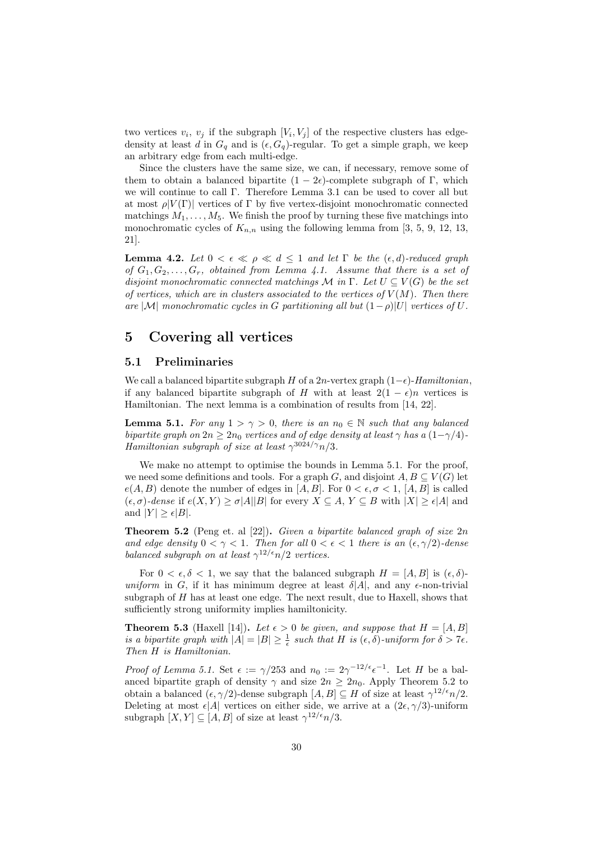two vertices  $v_i, v_j$  if the subgraph  $[V_i, V_j]$  of the respective clusters has edgedensity at least d in  $G_q$  and is  $(\epsilon, G_q)$ -regular. To get a simple graph, we keep an arbitrary edge from each multi-edge.

Since the clusters have the same size, we can, if necessary, remove some of them to obtain a balanced bipartite  $(1 - 2\epsilon)$ -complete subgraph of Γ, which we will continue to call Γ. Therefore Lemma 3.1 can be used to cover all but at most  $\rho|V(\Gamma)|$  vertices of Γ by five vertex-disjoint monochromatic connected matchings  $M_1, \ldots, M_5$ . We finish the proof by turning these five matchings into monochromatic cycles of  $K_{n,n}$  using the following lemma from [3, 5, 9, 12, 13, 21].

**Lemma 4.2.** Let  $0 < \epsilon \ll \rho \ll d \leq 1$  and let  $\Gamma$  be the  $(\epsilon, d)$ -reduced graph of  $G_1, G_2, \ldots, G_r$ , obtained from Lemma 4.1. Assume that there is a set of disjoint monochromatic connected matchings  $\mathcal M$  in  $\Gamma$ . Let  $U \subseteq V(G)$  be the set of vertices, which are in clusters associated to the vertices of  $V(M)$ . Then there are |M| monochromatic cycles in G partitioning all but  $(1-\rho)|U|$  vertices of U.

# 5 Covering all vertices

### 5.1 Preliminaries

We call a balanced bipartite subgraph H of a 2n-vertex graph  $(1-\epsilon)$ -Hamiltonian, if any balanced bipartite subgraph of H with at least  $2(1 - \epsilon)n$  vertices is Hamiltonian. The next lemma is a combination of results from [14, 22].

**Lemma 5.1.** For any  $1 > \gamma > 0$ , there is an  $n_0 \in \mathbb{N}$  such that any balanced bipartite graph on  $2n \geq 2n_0$  vertices and of edge density at least  $\gamma$  has a  $(1-\gamma/4)$ -Hamiltonian subgraph of size at least  $\gamma^{3024/\gamma} n/3$ .

We make no attempt to optimise the bounds in Lemma 5.1. For the proof, we need some definitions and tools. For a graph G, and disjoint  $A, B \subseteq V(G)$  let  $e(A, B)$  denote the number of edges in [A, B]. For  $0 < \epsilon, \sigma < 1$ , [A, B] is called  $(\epsilon, \sigma)$ -dense if  $e(X, Y) \ge \sigma |A||B|$  for every  $X \subseteq A, Y \subseteq B$  with  $|X| \ge \epsilon |A|$  and and  $|Y| \geq \epsilon |B|$ .

**Theorem 5.2** (Peng et. al  $[22]$ ). Given a bipartite balanced graph of size  $2n$ and edge density  $0 < \gamma < 1$ . Then for all  $0 < \epsilon < 1$  there is an  $(\epsilon, \gamma/2)$ -dense balanced subgraph on at least  $\gamma^{12/\epsilon} n/2$  vertices.

For  $0 < \epsilon, \delta < 1$ , we say that the balanced subgraph  $H = [A, B]$  is  $(\epsilon, \delta)$ uniform in G, if it has minimum degree at least  $\delta |A|$ , and any  $\epsilon$ -non-trivial subgraph of  $H$  has at least one edge. The next result, due to Haxell, shows that sufficiently strong uniformity implies hamiltonicity.

**Theorem 5.3** (Haxell [14]). Let  $\epsilon > 0$  be given, and suppose that  $H = [A, B]$ is a bipartite graph with  $|A| = |B| \geq \frac{1}{\epsilon}$  such that H is  $(\epsilon, \delta)$ -uniform for  $\delta > 7\epsilon$ . Then H is Hamiltonian.

*Proof of Lemma 5.1.* Set  $\epsilon := \gamma/253$  and  $n_0 := 2\gamma^{-12/\epsilon} \epsilon^{-1}$ . Let H be a balanced bipartite graph of density  $\gamma$  and size  $2n \geq 2n_0$ . Apply Theorem 5.2 to obtain a balanced  $(\epsilon, \gamma/2)$ -dense subgraph  $[A, B] \subseteq H$  of size at least  $\gamma^{12/\epsilon} n/2$ . Deleting at most  $\epsilon |A|$  vertices on either side, we arrive at a  $(2\epsilon, \gamma/3)$ -uniform subgraph  $[X, Y] \subseteq [A, B]$  of size at least  $\gamma^{12/\epsilon} n/3$ .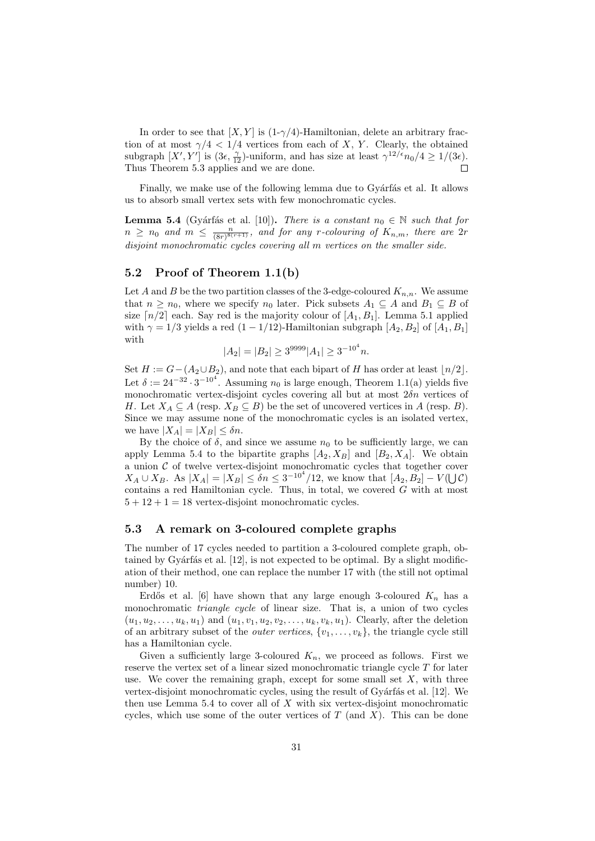In order to see that  $[X, Y]$  is  $(1-\gamma/4)$ -Hamiltonian, delete an arbitrary fraction of at most  $\gamma/4 < 1/4$  vertices from each of X, Y. Clearly, the obtained subgraph  $[X', Y']$  is  $(3\epsilon, \frac{\gamma}{12})$ -uniform, and has size at least  $\gamma^{12/\epsilon} n_0/4 \ge 1/(3\epsilon)$ . Thus Theorem 5.3 applies and we are done.  $\Box$ 

Finally, we make use of the following lemma due to Gyárfás et al. It allows us to absorb small vertex sets with few monochromatic cycles.

**Lemma 5.4** (Gyárfás et al. [10]). There is a constant  $n_0 \in \mathbb{N}$  such that for  $n \geq n_0$  and  $m \leq \frac{n}{(8r)^{8(r+1)}},$  and for any r-colouring of  $K_{n,m}$ , there are 2r disjoint monochromatic cycles covering all m vertices on the smaller side.

### 5.2 Proof of Theorem 1.1(b)

Let A and B be the two partition classes of the 3-edge-coloured  $K_{n,n}$ . We assume that  $n \geq n_0$ , where we specify  $n_0$  later. Pick subsets  $A_1 \subseteq A$  and  $B_1 \subseteq B$  of size  $\lceil n/2 \rceil$  each. Say red is the majority colour of  $\lceil A_1, B_1 \rceil$ . Lemma 5.1 applied with  $\gamma = 1/3$  yields a red  $(1 - 1/12)$ -Hamiltonian subgraph  $[A_2, B_2]$  of  $[A_1, B_1]$ with

$$
|A_2| = |B_2| \ge 3^{9999} |A_1| \ge 3^{-10^4} n.
$$

Set  $H := G-(A_2\cup B_2)$ , and note that each bipart of H has order at least  $\lfloor n/2 \rfloor$ . Let  $\delta := 24^{-32} \cdot 3^{-10^4}$ . Assuming  $n_0$  is large enough, Theorem 1.1(a) yields five monochromatic vertex-disjoint cycles covering all but at most  $2\delta n$  vertices of H. Let  $X_A \subseteq A$  (resp.  $X_B \subseteq B$ ) be the set of uncovered vertices in A (resp. B). Since we may assume none of the monochromatic cycles is an isolated vertex, we have  $|X_A| = |X_B| \leq \delta n$ .

By the choice of  $\delta$ , and since we assume  $n_0$  to be sufficiently large, we can apply Lemma 5.4 to the bipartite graphs  $[A_2, X_B]$  and  $[B_2, X_A]$ . We obtain a union  $C$  of twelve vertex-disjoint monochromatic cycles that together cover  $X_A \cup X_B$ . As  $|X_A| = |X_B| \le \delta n \le 3^{-10^4} / 12$ , we know that  $[A_2, B_2] - V(\bigcup \mathcal{C})$ contains a red Hamiltonian cycle. Thus, in total, we covered  $G$  with at most  $5 + 12 + 1 = 18$  vertex-disjoint monochromatic cycles.

### 5.3 A remark on 3-coloured complete graphs

The number of 17 cycles needed to partition a 3-coloured complete graph, obtained by Gyárfás et al.  $[12]$ , is not expected to be optimal. By a slight modification of their method, one can replace the number 17 with (the still not optimal number) 10.

Erdős et al. [6] have shown that any large enough 3-coloured  $K_n$  has a monochromatic *triangle cycle* of linear size. That is, a union of two cycles  $(u_1, u_2, \ldots, u_k, u_1)$  and  $(u_1, v_1, u_2, v_2, \ldots, u_k, v_k, u_1)$ . Clearly, after the deletion of an arbitrary subset of the *outer vertices*,  $\{v_1, \ldots, v_k\}$ , the triangle cycle still has a Hamiltonian cycle.

Given a sufficiently large 3-coloured  $K_n$ , we proceed as follows. First we reserve the vertex set of a linear sized monochromatic triangle cycle T for later use. We cover the remaining graph, except for some small set  $X$ , with three vertex-disjoint monochromatic cycles, using the result of Gyárfás et al. [12]. We then use Lemma 5.4 to cover all of  $X$  with six vertex-disjoint monochromatic cycles, which use some of the outer vertices of  $T$  (and  $X$ ). This can be done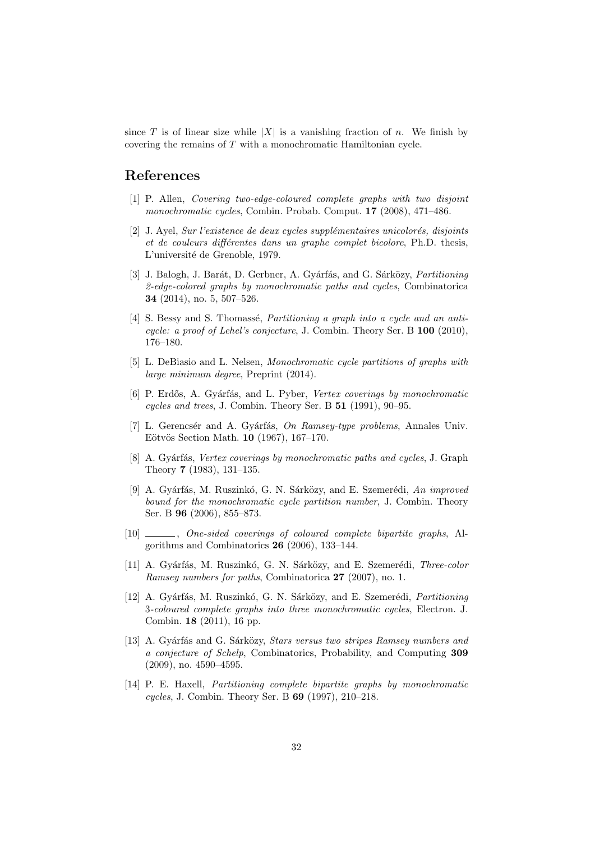since T is of linear size while |X| is a vanishing fraction of n. We finish by covering the remains of T with a monochromatic Hamiltonian cycle.

# References

- [1] P. Allen, Covering two-edge-coloured complete graphs with two disjoint monochromatic cycles, Combin. Probab. Comput. 17 (2008), 471–486.
- $[2]$  J. Ayel, Sur l'existence de deux cycles supplémentaires unicolorés, disjoints et de couleurs différentes dans un graphe complet bicolore, Ph.D. thesis, L'université de Grenoble, 1979.
- [3] J. Balogh, J. Barát, D. Gerbner, A. Gyárfás, and G. Sárközy, *Partitioning* 2-edge-colored graphs by monochromatic paths and cycles, Combinatorica 34 (2014), no. 5, 507–526.
- [4] S. Bessy and S. Thomassé, *Partitioning a graph into a cycle and an anti*cycle: a proof of Lehel's conjecture, J. Combin. Theory Ser. B  $100$  (2010), 176–180.
- [5] L. DeBiasio and L. Nelsen, Monochromatic cycle partitions of graphs with large minimum degree, Preprint (2014).
- [6] P. Erdős, A. Gyárfás, and L. Pyber, Vertex coverings by monochromatic cycles and trees, J. Combin. Theory Ser. B 51 (1991), 90–95.
- [7] L. Gerencsér and A. Gyárfás, On Ramsey-type problems, Annales Univ. Eötvös Section Math. 10 (1967), 167–170.
- [8] A. Gyárfás, Vertex coverings by monochromatic paths and cycles, J. Graph Theory 7 (1983), 131–135.
- [9] A. Gyárfás, M. Ruszinkó, G. N. Sárközy, and E. Szemerédi, An improved bound for the monochromatic cycle partition number, J. Combin. Theory Ser. B 96 (2006), 855–873.
- [10]  $\_\_\_\_\_\$ , One-sided coverings of coloured complete bipartite graphs, Algorithms and Combinatorics 26 (2006), 133–144.
- [11] A. Gyárfás, M. Ruszinkó, G. N. Sárközy, and E. Szemerédi, *Three-color* Ramsey numbers for paths, Combinatorica 27 (2007), no. 1.
- [12] A. Gyárfás, M. Ruszinkó, G. N. Sárközy, and E. Szemerédi, Partitioning 3-coloured complete graphs into three monochromatic cycles, Electron. J. Combin. 18 (2011), 16 pp.
- [13] A. Gyárfás and G. Sárközy, *Stars versus two stripes Ramsey numbers and* a conjecture of Schelp, Combinatorics, Probability, and Computing 309 (2009), no. 4590–4595.
- [14] P. E. Haxell, Partitioning complete bipartite graphs by monochromatic cycles, J. Combin. Theory Ser. B 69 (1997), 210–218.